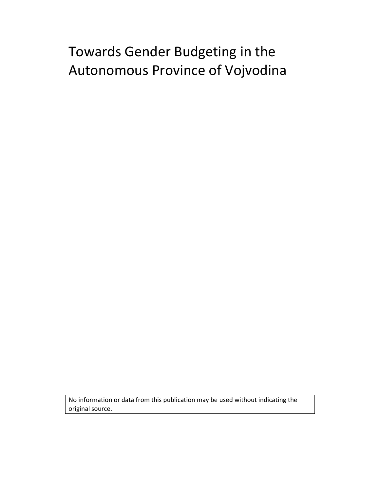# Towards Gender Budgeting in the Autonomous Province of Vojvodina

No information or data from this publication may be used without indicating the original source.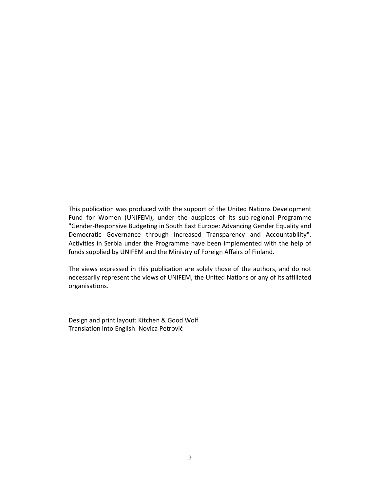This publication was produced with the support of the United Nations Development Fund for Women (UNIFEM), under the auspices of its sub-regional Programme "Gender-Responsive Budgeting in South East Europe: Advancing Gender Equality and Democratic Governance through Increased Transparency and Accountability". Activities in Serbia under the Programme have been implemented with the help of funds supplied by UNIFEM and the Ministry of Foreign Affairs of Finland.

The views expressed in this publication are solely those of the authors, and do not necessarily represent the views of UNIFEM, the United Nations or any of its affiliated organisations.

Design and print layout: Kitchen & Good Wolf Translation into English: Novica Petrović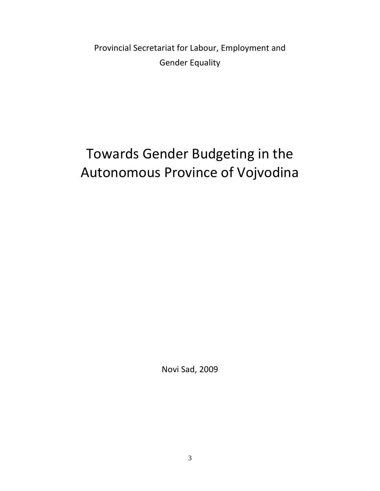Provincial Secretariat for Labour, Employment and Gender Equality

# Towards Gender Budgeting in the Autonomous Province of Vojvodina

Novi Sad, 2009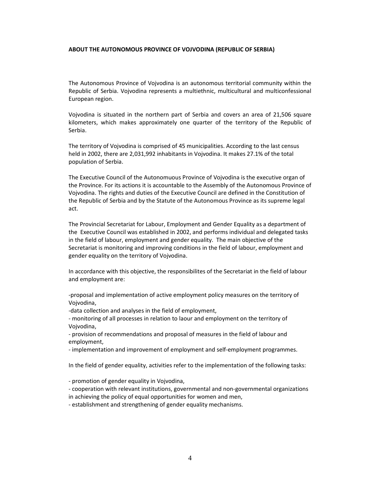### **ABOUT THE AUTONOMOUS PROVINCE OF VOJVODINA (REPUBLIC OF SERBIA)**

The Autonomous Province of Vojvodina is an autonomous territorial community within the Republic of Serbia. Vojvodina represents a multiethnic, multicultural and multiconfessional European region.

Vojvodina is situated in the northern part of Serbia and covers an area of 21,506 square kilometers, which makes approximately one quarter of the territory of the Republic of Serbia.

The territory of Vojvodina is comprised of 45 municipalities. According to the last census held in 2002, there are 2,031,992 inhabitants in Vojvodina. It makes 27.1% of the total population of Serbia.

The Executive Council of the Autonomuous Province of Vojvodina is the executive organ of the Province. For its actions it is accountable to the Assembly of the Autonomous Province of Vojvodina. The rights and duties of the Executive Council are defined in the Constitution of the Republic of Serbia and by the Statute of the Autonomous Province as its supreme legal act.

The Provincial Secretariat for Labour, Employment and Gender Equality as a department of the Executive Council was established in 2002, and performs individual and delegated tasks in the field of labour, employment and gender equality. The main objective of the Secretariat is monitoring and improving conditions in the field of labour, employment and gender equality on the territory of Vojvodina.

In accordance with this objective, the responsibilites of the Secretariat in the field of labour and employment are:

-proposal and implementation of active employment policy measures on the territory of Vojvodina,

-data collection and analyses in the field of employment,

- monitoring of all processes in relation to laour and employment on the territory of Vojvodina,

- provision of recommendations and proposal of measures in the field of labour and employment,

- implementation and improvement of employment and self-employment programmes.

In the field of gender equality, activities refer to the implementation of the following tasks:

- promotion of gender equality in Vojvodina,

- cooperation with relevant institutions, governmental and non-governmental organizations in achieving the policy of equal opportunities for women and men,

- establishment and strengthening of gender equality mechanisms.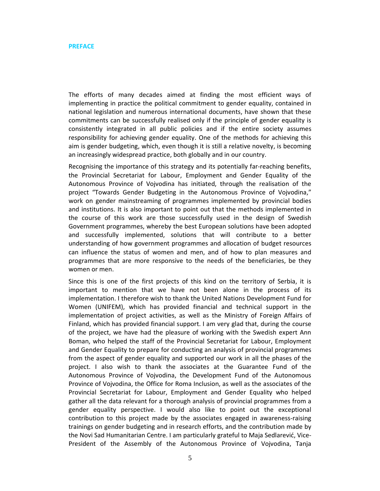The efforts of many decades aimed at finding the most efficient ways of implementing in practice the political commitment to gender equality, contained in national legislation and numerous international documents, have shown that these commitments can be successfully realised only if the principle of gender equality is consistently integrated in all public policies and if the entire society assumes responsibility for achieving gender equality. One of the methods for achieving this aim is gender budgeting, which, even though it is still a relative novelty, is becoming an increasingly widespread practice, both globally and in our country.

Recognising the importance of this strategy and its potentially far-reaching benefits, the Provincial Secretariat for Labour, Employment and Gender Equality of the Autonomous Province of Vojvodina has initiated, through the realisation of the project "Towards Gender Budgeting in the Autonomous Province of Vojvodina," work on gender mainstreaming of programmes implemented by provincial bodies and institutions. It is also important to point out that the methods implemented in the course of this work are those successfully used in the design of Swedish Government programmes, whereby the best European solutions have been adopted and successfully implemented, solutions that will contribute to a better understanding of how government programmes and allocation of budget resources can influence the status of women and men, and of how to plan measures and programmes that are more responsive to the needs of the beneficiaries, be they women or men.

Since this is one of the first projects of this kind on the territory of Serbia, it is important to mention that we have not been alone in the process of its implementation. I therefore wish to thank the United Nations Development Fund for Women (UNIFEM), which has provided financial and technical support in the implementation of project activities, as well as the Ministry of Foreign Affairs of Finland, which has provided financial support. I am very glad that, during the course of the project, we have had the pleasure of working with the Swedish expert Ann Boman, who helped the staff of the Provincial Secretariat for Labour, Employment and Gender Equality to prepare for conducting an analysis of provincial programmes from the aspect of gender equality and supported our work in all the phases of the project. I also wish to thank the associates at the Guarantee Fund of the Autonomous Province of Vojvodina, the Development Fund of the Autonomous Province of Vojvodina, the Office for Roma Inclusion, as well as the associates of the Provincial Secretariat for Labour, Employment and Gender Equality who helped gather all the data relevant for a thorough analysis of provincial programmes from a gender equality perspective. I would also like to point out the exceptional contribution to this project made by the associates engaged in awareness-raising trainings on gender budgeting and in research efforts, and the contribution made by the Novi Sad Humanitarian Centre. I am particularly grateful to Maja Sedlarević, Vice-President of the Assembly of the Autonomous Province of Vojvodina, Tanja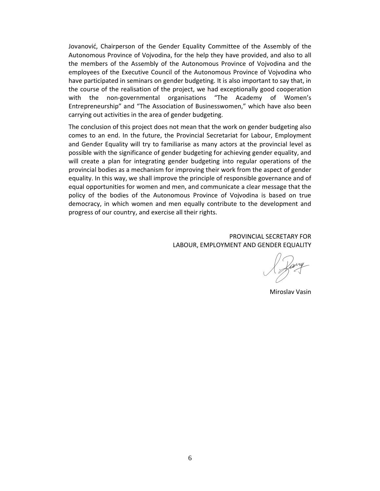Jovanović, Chairperson of the Gender Equality Committee of the Assembly of the Autonomous Province of Vojvodina, for the help they have provided, and also to all the members of the Assembly of the Autonomous Province of Vojvodina and the employees of the Executive Council of the Autonomous Province of Vojvodina who have participated in seminars on gender budgeting. It is also important to say that, in the course of the realisation of the project, we had exceptionally good cooperation with the non-governmental organisations "The Academy of Women's Entrepreneurship" and "The Association of Businesswomen," which have also been carrying out activities in the area of gender budgeting.

The conclusion of this project does not mean that the work on gender budgeting also comes to an end. In the future, the Provincial Secretariat for Labour, Employment and Gender Equality will try to familiarise as many actors at the provincial level as possible with the significance of gender budgeting for achieving gender equality, and will create a plan for integrating gender budgeting into regular operations of the provincial bodies as a mechanism for improving their work from the aspect of gender equality. In this way, we shall improve the principle of responsible governance and of equal opportunities for women and men, and communicate a clear message that the policy of the bodies of the Autonomous Province of Vojvodina is based on true democracy, in which women and men equally contribute to the development and progress of our country, and exercise all their rights.

# PROVINCIAL SECRETARY FOR LABOUR, EMPLOYMENT AND GENDER EQUALITY

Miroslav Vasin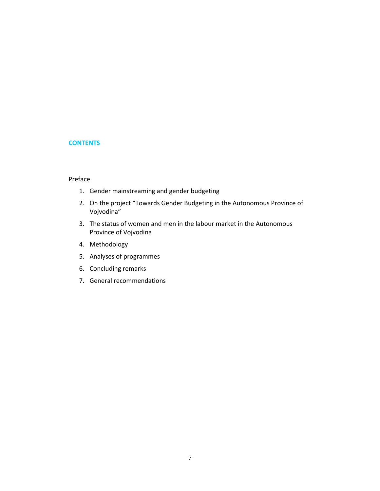# **CONTENTS**

# Preface

- 1. Gender mainstreaming and gender budgeting
- 2. On the project "Towards Gender Budgeting in the Autonomous Province of Vojvodina"
- 3. The status of women and men in the labour market in the Autonomous Province of Vojvodina
- 4. Methodology
- 5. Analyses of programmes
- 6. Concluding remarks
- 7. General recommendations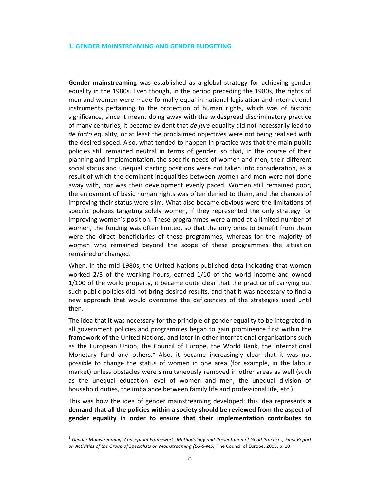#### **1. GENDER MAINSTREAMING AND GENDER BUDGETING**

**Gender mainstreaming** was established as a global strategy for achieving gender equality in the 1980s. Even though, in the period preceding the 1980s, the rights of men and women were made formally equal in national legislation and international instruments pertaining to the protection of human rights, which was of historic significance, since it meant doing away with the widespread discriminatory practice of many centuries, it became evident that *de jure* equality did not necessarily lead to *de facto* equality, or at least the proclaimed objectives were not being realised with the desired speed. Also, what tended to happen in practice was that the main public policies still remained neutral in terms of gender, so that, in the course of their planning and implementation, the specific needs of women and men, their different social status and unequal starting positions were not taken into consideration, as a result of which the dominant inequalities between women and men were not done away with, nor was their development evenly paced. Women still remained poor, the enjoyment of basic human rights was often denied to them, and the chances of improving their status were slim. What also became obvious were the limitations of specific policies targeting solely women, if they represented the only strategy for improving women's position. These programmes were aimed at a limited number of women, the funding was often limited, so that the only ones to benefit from them were the direct beneficiaries of these programmes, whereas for the majority of women who remained beyond the scope of these programmes the situation remained unchanged.

When, in the mid-1980s, the United Nations published data indicating that women worked 2/3 of the working hours, earned 1/10 of the world income and owned 1/100 of the world property, it became quite clear that the practice of carrying out such public policies did not bring desired results, and that it was necessary to find a new approach that would overcome the deficiencies of the strategies used until then.

The idea that it was necessary for the principle of gender equality to be integrated in all government policies and programmes began to gain prominence first within the framework of the United Nations, and later in other international organisations such as the European Union, the Council of Europe, the World Bank, the International Monetary Fund and others.<sup>1</sup> Also, it became increasingly clear that it was not possible to change the status of women in one area (for example, in the labour market) unless obstacles were simultaneously removed in other areas as well (such as the unequal education level of women and men, the unequal division of household duties, the imbalance between family life and professional life, etc.).

This was how the idea of gender mainstreaming developed; this idea represents **a demand that all the policies within a society should be reviewed from the aspect of gender equality in order to ensure that their implementation contributes to** 

-

<sup>1</sup> *Gender Mainstreaming, Conceptual Framework, Methodology and Presentation of Good Practices, Final Report on Activities of the Group of Specialists on Mainstreaming (EG-S-MS),* The Council of Europe, 2005, p. 10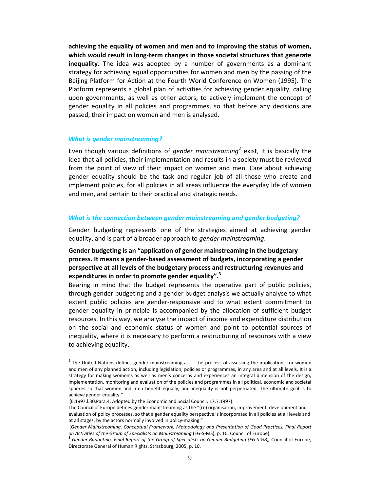**achieving the equality of women and men and to improving the status of women, which would result in long-term changes in those societal structures that generate inequality**. The idea was adopted by a number of governments as a dominant strategy for achieving equal opportunities for women and men by the passing of the Beijing Platform for Action at the Fourth World Conference on Women (1995). The Platform represents a global plan of activities for achieving gender equality, calling upon governments, as well as other actors, to actively implement the concept of gender equality in all policies and programmes, so that before any decisions are passed, their impact on women and men is analysed.

### *What is gender mainstreaming?*

Even though various definitions of *gender mainstreaming*<sup>2</sup> exist, it is basically the idea that all policies, their implementation and results in a society must be reviewed from the point of view of their impact on women and men. Care about achieving gender equality should be the task and regular job of all those who create and implement policies, for all policies in all areas influence the everyday life of women and men, and pertain to their practical and strategic needs.

### *What is the connection between gender mainstreaming and gender budgeting?*

Gender budgeting represents one of the strategies aimed at achieving gender equality, and is part of a broader approach to *gender mainstreaming*.

# **Gender budgeting is an "application of gender mainstreaming in the budgetary process. It means a gender-based assessment of budgets, incorporating a gender perspective at all levels of the budgetary process and restructuring revenues and expenditures in order to promote gender equality".<sup>3</sup>**

Bearing in mind that the budget represents the operative part of public policies, through gender budgeting and a gender budget analysis we actually analyse to what extent public policies are gender-responsive and to what extent commitment to gender equality in principle is accompanied by the allocation of sufficient budget resources. In this way, we analyse the impact of income and expenditure distribution on the social and economic status of women and point to potential sources of inequality, where it is necessary to perform a restructuring of resources with a view to achieving equality.

 2 The United Nations defines gender mainstreaming as "…the process of assessing the implications for women and men of any planned action, including legislation, policies or programmes, in any area and at all levels. It is a strategy for making women's as well as men's concerns and experiences an integral dimension of the design, implementation, monitoring and evaluation of the policies and programmes in all political, economic and societal spheres so that women and men benefit equally, and inequality is not perpetuated. The ultimate goal is to achieve gender equality."

<sup>(</sup>E.1997.l.30.Para.4. Adopted by the Economic and Social Council, 17.7.1997).

The Council of Europe defines gender mainstreaming as the "(re) organisation, improvement, development and evaluation of policy processes, so that a gender equality perspective is incorporated in all policies at all levels and at all stages, by the actors normally involved in policy-making."

<sup>(</sup>*Gender Mainstreaming, Conceptual Framework, Methodology and Presentation of Good Practices, Final Report on Activities of the Group of Specialists on Mainstreaming* (EG-S-MS), p. 10, Council of Europe).

<sup>3</sup> *Gender Budgeting, Final Report of the Group of Specialists on Gender Budgeting (EG-S-GB),* Council of Europe, Directorate General of Human Rights, Strasbourg, 2005, p. 10.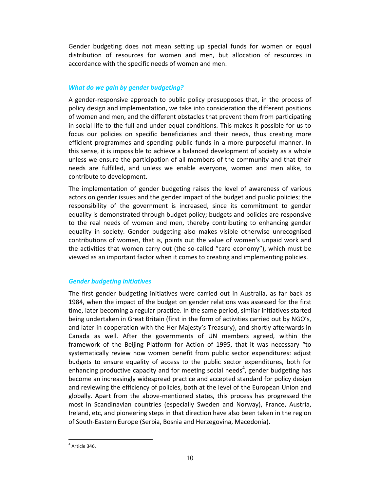Gender budgeting does not mean setting up special funds for women or equal distribution of resources for women and men, but allocation of resources in accordance with the specific needs of women and men.

# *What do we gain by gender budgeting?*

A gender-responsive approach to public policy presupposes that, in the process of policy design and implementation, we take into consideration the different positions of women and men, and the different obstacles that prevent them from participating in social life to the full and under equal conditions. This makes it possible for us to focus our policies on specific beneficiaries and their needs, thus creating more efficient programmes and spending public funds in a more purposeful manner. In this sense, it is impossible to achieve a balanced development of society as a whole unless we ensure the participation of all members of the community and that their needs are fulfilled, and unless we enable everyone, women and men alike, to contribute to development.

The implementation of gender budgeting raises the level of awareness of various actors on gender issues and the gender impact of the budget and public policies; the responsibility of the government is increased, since its commitment to gender equality is demonstrated through budget policy; budgets and policies are responsive to the real needs of women and men, thereby contributing to enhancing gender equality in society. Gender budgeting also makes visible otherwise unrecognised contributions of women, that is, points out the value of women's unpaid work and the activities that women carry out (the so-called "care economy"), which must be viewed as an important factor when it comes to creating and implementing policies.

# *Gender budgeting initiatives*

The first gender budgeting initiatives were carried out in Australia, as far back as 1984, when the impact of the budget on gender relations was assessed for the first time, later becoming a regular practice. In the same period, similar initiatives started being undertaken in Great Britain (first in the form of activities carried out by NGO's, and later in cooperation with the Her Majesty's Treasury), and shortly afterwards in Canada as well. After the governments of UN members agreed, within the framework of the Beijing Platform for Action of 1995, that it was necessary "to systematically review how women benefit from public sector expenditures: adjust budgets to ensure equality of access to the public sector expenditures, both for enhancing productive capacity and for meeting social needs<sup>4</sup>, gender budgeting has become an increasingly widespread practice and accepted standard for policy design and reviewing the efficiency of policies, both at the level of the European Union and globally. Apart from the above-mentioned states, this process has progressed the most in Scandinavian countries (especially Sweden and Norway), France, Austria, Ireland, etc, and pioneering steps in that direction have also been taken in the region of South-Eastern Europe (Serbia, Bosnia and Herzegovina, Macedonia).

<sup>-</sup> $<sup>4</sup>$  Article 346.</sup>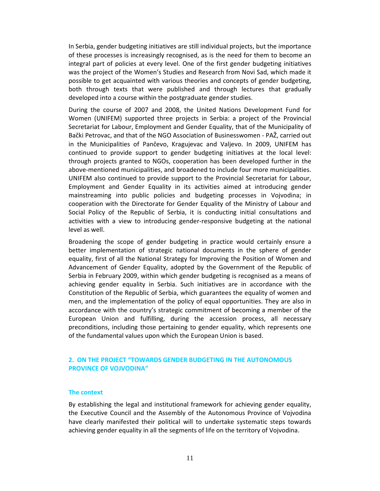In Serbia, gender budgeting initiatives are still individual projects, but the importance of these processes is increasingly recognised, as is the need for them to become an integral part of policies at every level. One of the first gender budgeting initiatives was the project of the Women's Studies and Research from Novi Sad, which made it possible to get acquainted with various theories and concepts of gender budgeting, both through texts that were published and through lectures that gradually developed into a course within the postgraduate gender studies.

During the course of 2007 and 2008, the United Nations Development Fund for Women (UNIFEM) supported three projects in Serbia: a project of the Provincial Secretariat for Labour, Employment and Gender Equality, that of the Municipality of Bački Petrovac, and that of the NGO Association of Businesswomen - PAŽ, carried out in the Municipalities of Pančevo, Kragujevac and Valjevo. In 2009, UNIFEM has continued to provide support to gender budgeting initiatives at the local level: through projects granted to NGOs, cooperation has been developed further in the above-mentioned municipalities, and broadened to include four more municipalities. UNIFEM also continued to provide support to the Provincial Secretariat for Labour, Employment and Gender Equality in its activities aimed at introducing gender mainstreaming into public policies and budgeting processes in Vojvodina; in cooperation with the Directorate for Gender Equality of the Ministry of Labour and Social Policy of the Republic of Serbia, it is conducting initial consultations and activities with a view to introducing gender-responsive budgeting at the national level as well.

Broadening the scope of gender budgeting in practice would certainly ensure a better implementation of strategic national documents in the sphere of gender equality, first of all the National Strategy for Improving the Position of Women and Advancement of Gender Equality, adopted by the Government of the Republic of Serbia in February 2009, within which gender budgeting is recognised as a means of achieving gender equality in Serbia. Such initiatives are in accordance with the Constitution of the Republic of Serbia, which guarantees the equality of women and men, and the implementation of the policy of equal opportunities. They are also in accordance with the country's strategic commitment of becoming a member of the European Union and fulfilling, during the accession process, all necessary preconditions, including those pertaining to gender equality, which represents one of the fundamental values upon which the European Union is based.

# **2. ON THE PROJECT "TOWARDS GENDER BUDGETING IN THE AUTONOMOUS PROVINCE OF VOJVODINA"**

### **The context**

By establishing the legal and institutional framework for achieving gender equality, the Executive Council and the Assembly of the Autonomous Province of Vojvodina have clearly manifested their political will to undertake systematic steps towards achieving gender equality in all the segments of life on the territory of Vojvodina.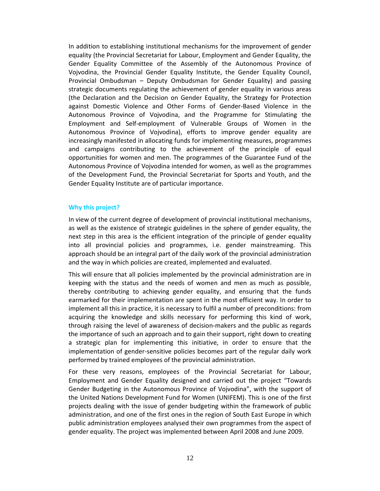In addition to establishing institutional mechanisms for the improvement of gender equality (the Provincial Secretariat for Labour, Employment and Gender Equality, the Gender Equality Committee of the Assembly of the Autonomous Province of Vojvodina, the Provincial Gender Equality Institute, the Gender Equality Council, Provincial Ombudsman – Deputy Ombudsman for Gender Equality) and passing strategic documents regulating the achievement of gender equality in various areas (the Declaration and the Decision on Gender Equality, the Strategy for Protection against Domestic Violence and Other Forms of Gender-Based Violence in the Autonomous Province of Vojvodina, and the Programme for Stimulating the Employment and Self-employment of Vulnerable Groups of Women in the Autonomous Province of Vojvodina), efforts to improve gender equality are increasingly manifested in allocating funds for implementing measures, programmes and campaigns contributing to the achievement of the principle of equal opportunities for women and men. The programmes of the Guarantee Fund of the Autonomous Province of Vojvodina intended for women, as well as the programmes of the Development Fund, the Provincial Secretariat for Sports and Youth, and the Gender Equality Institute are of particular importance.

### **Why this project?**

In view of the current degree of development of provincial institutional mechanisms, as well as the existence of strategic guidelines in the sphere of gender equality, the next step in this area is the efficient integration of the principle of gender equality into all provincial policies and programmes, i.e. gender mainstreaming. This approach should be an integral part of the daily work of the provincial administration and the way in which policies are created, implemented and evaluated.

This will ensure that all policies implemented by the provincial administration are in keeping with the status and the needs of women and men as much as possible, thereby contributing to achieving gender equality, and ensuring that the funds earmarked for their implementation are spent in the most efficient way. In order to implement all this in practice, it is necessary to fulfil a number of preconditions: from acquiring the knowledge and skills necessary for performing this kind of work, through raising the level of awareness of decision-makers and the public as regards the importance of such an approach and to gain their support, right down to creating a strategic plan for implementing this initiative, in order to ensure that the implementation of gender-sensitive policies becomes part of the regular daily work performed by trained employees of the provincial administration.

For these very reasons, employees of the Provincial Secretariat for Labour, Employment and Gender Equality designed and carried out the project "Towards Gender Budgeting in the Autonomous Province of Vojvodina", with the support of the United Nations Development Fund for Women (UNIFEM). This is one of the first projects dealing with the issue of gender budgeting within the framework of public administration, and one of the first ones in the region of South East Europe in which public administration employees analysed their own programmes from the aspect of gender equality. The project was implemented between April 2008 and June 2009.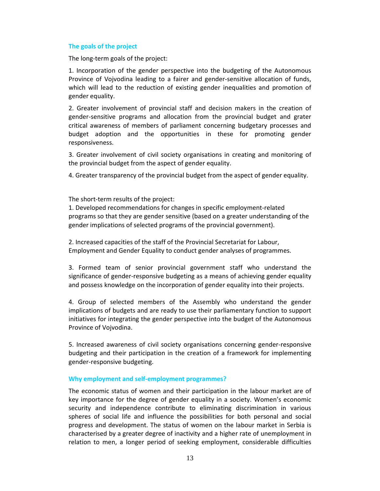# **The goals of the project**

The long-term goals of the project:

1. Incorporation of the gender perspective into the budgeting of the Autonomous Province of Vojvodina leading to a fairer and gender-sensitive allocation of funds, which will lead to the reduction of existing gender inequalities and promotion of gender equality.

2. Greater involvement of provincial staff and decision makers in the creation of gender-sensitive programs and allocation from the provincial budget and grater critical awareness of members of parliament concerning budgetary processes and budget adoption and the opportunities in these for promoting gender responsiveness.

3. Greater involvement of civil society organisations in creating and monitoring of the provincial budget from the aspect of gender equality.

4. Greater transparency of the provincial budget from the aspect of gender equality.

The short-term results of the project:

1. Developed recommendations for changes in specific employment-related programs so that they are gender sensitive (based on a greater understanding of the gender implications of selected programs of the provincial government).

2. Increased capacities of the staff of the Provincial Secretariat for Labour, Employment and Gender Equality to conduct gender analyses of programmes.

3. Formed team of senior provincial government staff who understand the significance of gender-responsive budgeting as a means of achieving gender equality and possess knowledge on the incorporation of gender equality into their projects.

4. Group of selected members of the Assembly who understand the gender implications of budgets and are ready to use their parliamentary function to support initiatives for integrating the gender perspective into the budget of the Autonomous Province of Vojvodina.

5. Increased awareness of civil society organisations concerning gender-responsive budgeting and their participation in the creation of a framework for implementing gender-responsive budgeting.

### **Why employment and self-employment programmes?**

The economic status of women and their participation in the labour market are of key importance for the degree of gender equality in a society. Women's economic security and independence contribute to eliminating discrimination in various spheres of social life and influence the possibilities for both personal and social progress and development. The status of women on the labour market in Serbia is characterised by a greater degree of inactivity and a higher rate of unemployment in relation to men, a longer period of seeking employment, considerable difficulties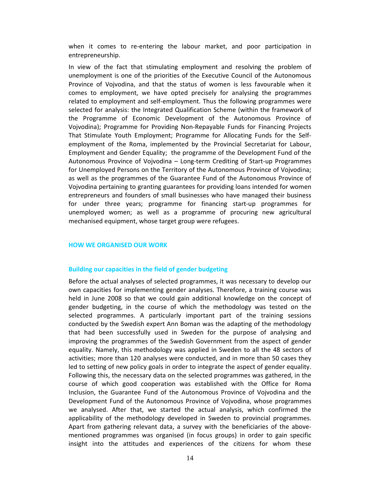when it comes to re-entering the labour market, and poor participation in entrepreneurship.

In view of the fact that stimulating employment and resolving the problem of unemployment is one of the priorities of the Executive Council of the Autonomous Province of Vojvodina, and that the status of women is less favourable when it comes to employment, we have opted precisely for analysing the programmes related to employment and self-employment. Thus the following programmes were selected for analysis: the Integrated Qualification Scheme (within the framework of the Programme of Economic Development of the Autonomous Province of Vojvodina); Programme for Providing Non-Repayable Funds for Financing Projects That Stimulate Youth Employment; Programme for Allocating Funds for the Selfemployment of the Roma, implemented by the Provincial Secretariat for Labour, Employment and Gender Equality; the programme of the Development Fund of the Autonomous Province of Vojvodina – Long-term Crediting of Start-up Programmes for Unemployed Persons on the Territory of the Autonomous Province of Vojvodina; as well as the programmes of the Guarantee Fund of the Autonomous Province of Vojvodina pertaining to granting guarantees for providing loans intended for women entrepreneurs and founders of small businesses who have managed their business for under three years; programme for financing start-up programmes for unemployed women; as well as a programme of procuring new agricultural mechanised equipment, whose target group were refugees.

### **HOW WE ORGANISED OUR WORK**

### **Building our capacities in the field of gender budgeting**

Before the actual analyses of selected programmes, it was necessary to develop our own capacities for implementing gender analyses. Therefore, a training course was held in June 2008 so that we could gain additional knowledge on the concept of gender budgeting, in the course of which the methodology was tested on the selected programmes. A particularly important part of the training sessions conducted by the Swedish expert Ann Boman was the adapting of the methodology that had been successfully used in Sweden for the purpose of analysing and improving the programmes of the Swedish Government from the aspect of gender equality. Namely, this methodology was applied in Sweden to all the 48 sectors of activities; more than 120 analyses were conducted, and in more than 50 cases they led to setting of new policy goals in order to integrate the aspect of gender equality. Following this, the necessary data on the selected programmes was gathered, in the course of which good cooperation was established with the Office for Roma Inclusion, the Guarantee Fund of the Autonomous Province of Vojvodina and the Development Fund of the Autonomous Province of Vojvodina, whose programmes we analysed. After that, we started the actual analysis, which confirmed the applicability of the methodology developed in Sweden to provincial programmes. Apart from gathering relevant data, a survey with the beneficiaries of the abovementioned programmes was organised (in focus groups) in order to gain specific insight into the attitudes and experiences of the citizens for whom these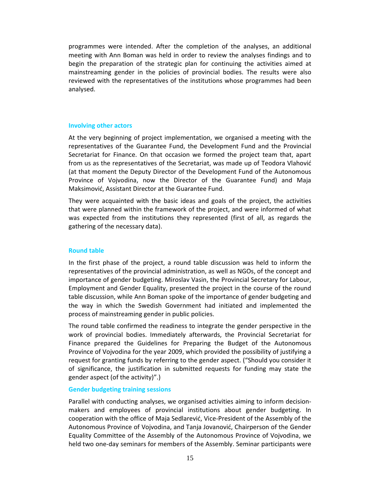programmes were intended. After the completion of the analyses, an additional meeting with Ann Boman was held in order to review the analyses findings and to begin the preparation of the strategic plan for continuing the activities aimed at mainstreaming gender in the policies of provincial bodies. The results were also reviewed with the representatives of the institutions whose programmes had been analysed.

### **Involving other actors**

At the very beginning of project implementation, we organised a meeting with the representatives of the Guarantee Fund, the Development Fund and the Provincial Secretariat for Finance. On that occasion we formed the project team that, apart from us as the representatives of the Secretariat, was made up of Teodora Vlahović (at that moment the Deputy Director of the Development Fund of the Autonomous Province of Vojvodina, now the Director of the Guarantee Fund) and Maja Maksimović, Assistant Director at the Guarantee Fund.

They were acquainted with the basic ideas and goals of the project, the activities that were planned within the framework of the project, and were informed of what was expected from the institutions they represented (first of all, as regards the gathering of the necessary data).

### **Round table**

In the first phase of the project, a round table discussion was held to inform the representatives of the provincial administration, as well as NGOs, of the concept and importance of gender budgeting. Miroslav Vasin, the Provincial Secretary for Labour, Employment and Gender Equality, presented the project in the course of the round table discussion, while Ann Boman spoke of the importance of gender budgeting and the way in which the Swedish Government had initiated and implemented the process of mainstreaming gender in public policies.

The round table confirmed the readiness to integrate the gender perspective in the work of provincial bodies. Immediately afterwards, the Provincial Secretariat for Finance prepared the Guidelines for Preparing the Budget of the Autonomous Province of Vojvodina for the year 2009, which provided the possibility of justifying a request for granting funds by referring to the gender aspect. ("Should you consider it of significance, the justification in submitted requests for funding may state the gender aspect (of the activity)".)

### **Gender budgeting training sessions**

Parallel with conducting analyses, we organised activities aiming to inform decisionmakers and employees of provincial institutions about gender budgeting. In cooperation with the office of Maja Sedlarević, Vice-President of the Assembly of the Autonomous Province of Vojvodina, and Tanja Jovanović, Chairperson of the Gender Equality Committee of the Assembly of the Autonomous Province of Vojvodina, we held two one-day seminars for members of the Assembly. Seminar participants were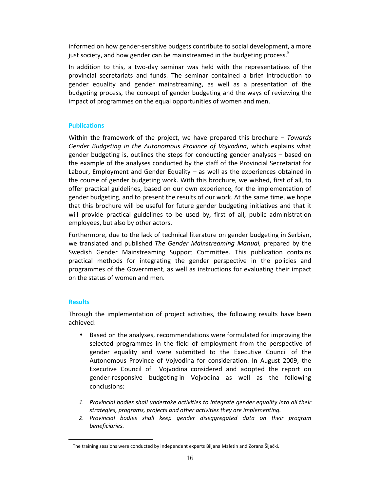informed on how gender-sensitive budgets contribute to social development, a more just society, and how gender can be mainstreamed in the budgeting process.<sup>5</sup>

In addition to this, a two-day seminar was held with the representatives of the provincial secretariats and funds. The seminar contained a brief introduction to gender equality and gender mainstreaming, as well as a presentation of the budgeting process, the concept of gender budgeting and the ways of reviewing the impact of programmes on the equal opportunities of women and men.

### **Publications**

Within the framework of the project, we have prepared this brochure – *Towards Gender Budgeting in the Autonomous Province of Vojvodina*, which explains what gender budgeting is, outlines the steps for conducting gender analyses – based on the example of the analyses conducted by the staff of the Provincial Secretariat for Labour, Employment and Gender Equality – as well as the experiences obtained in the course of gender budgeting work. With this brochure, we wished, first of all, to offer practical guidelines, based on our own experience, for the implementation of gender budgeting, and to present the results of our work. At the same time, we hope that this brochure will be useful for future gender budgeting initiatives and that it will provide practical guidelines to be used by, first of all, public administration employees, but also by other actors.

Furthermore, due to the lack of technical literature on gender budgeting in Serbian, we translated and published *The Gender Mainstreaming Manual,* prepared by the Swedish Gender Mainstreaming Support Committee. This publication contains practical methods for integrating the gender perspective in the policies and programmes of the Government, as well as instructions for evaluating their impact on the status of women and men.

# **Results**

-

Through the implementation of project activities, the following results have been achieved:

- Based on the analyses, recommendations were formulated for improving the selected programmes in the field of employment from the perspective of gender equality and were submitted to the Executive Council of the Autonomous Province of Vojvodina for consideration. In August 2009, the Executive Council of Vojvodina considered and adopted the report on gender-responsive budgeting in Vojvodina as well as the following conclusions:
- 1. *Provincial bodies shall undertake activities to integrate gender equality into all their strategies, programs, projects and other activities they are implementing.*
- 2. *Provincial bodies shall keep gender diseggregated data on their program beneficiaries.*

<sup>&</sup>lt;sup>5</sup> The training sessions were conducted by independent experts Biljana Maletin and Zorana Šijački.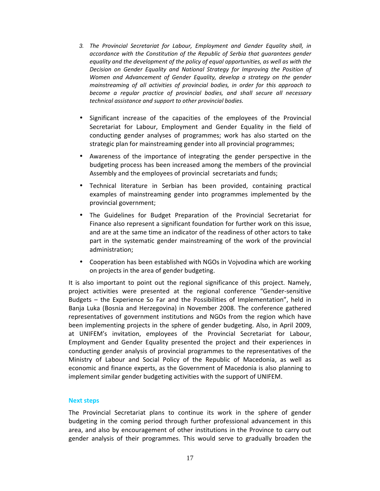- 3. *The Provincial Secretariat for Labour, Employment and Gender Equality shall, in accordance with the Constitution of the Republic of Serbia that guarantees gender equality and the development of the policy of equal opportunities, as well as with the Decision on Gender Equality and National Strategy for Improving the Position of Women and Advancement of Gender Equality, develop a strategy on the gender mainstreaming of all activities of provincial bodies, in order for this approach to become a regular practice of provincial bodies, and shall secure all necessary technical assistance and support to other provincial bodies.*
- Significant increase of the capacities of the employees of the Provincial Secretariat for Labour, Employment and Gender Equality in the field of conducting gender analyses of programmes; work has also started on the strategic plan for mainstreaming gender into all provincial programmes;
- Awareness of the importance of integrating the gender perspective in the budgeting process has been increased among the members of the provincial Assembly and the employees of provincial secretariats and funds;
- Technical literature in Serbian has been provided, containing practical examples of mainstreaming gender into programmes implemented by the provincial government;
- The Guidelines for Budget Preparation of the Provincial Secretariat for Finance also represent a significant foundation for further work on this issue, and are at the same time an indicator of the readiness of other actors to take part in the systematic gender mainstreaming of the work of the provincial administration;
- Cooperation has been established with NGOs in Vojvodina which are working on projects in the area of gender budgeting.

It is also important to point out the regional significance of this project. Namely, project activities were presented at the regional conference "Gender-sensitive Budgets – the Experience So Far and the Possibilities of Implementation", held in Banja Luka (Bosnia and Herzegovina) in November 2008. The conference gathered representatives of government institutions and NGOs from the region which have been implementing projects in the sphere of gender budgeting. Also, in April 2009, at UNIFEM's invitation, employees of the Provincial Secretariat for Labour, Employment and Gender Equality presented the project and their experiences in conducting gender analysis of provincial programmes to the representatives of the Ministry of Labour and Social Policy of the Republic of Macedonia, as well as economic and finance experts, as the Government of Macedonia is also planning to implement similar gender budgeting activities with the support of UNIFEM.

# **Next steps**

The Provincial Secretariat plans to continue its work in the sphere of gender budgeting in the coming period through further professional advancement in this area, and also by encouragement of other institutions in the Province to carry out gender analysis of their programmes. This would serve to gradually broaden the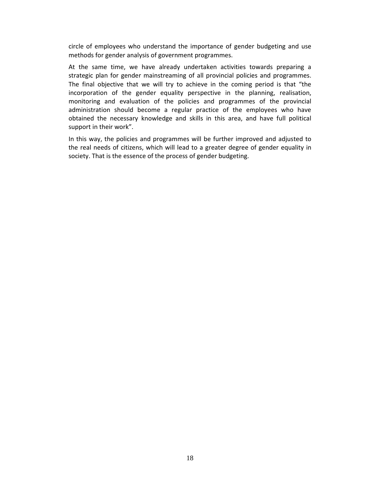circle of employees who understand the importance of gender budgeting and use methods for gender analysis of government programmes.

At the same time, we have already undertaken activities towards preparing a strategic plan for gender mainstreaming of all provincial policies and programmes. The final objective that we will try to achieve in the coming period is that "the incorporation of the gender equality perspective in the planning, realisation, monitoring and evaluation of the policies and programmes of the provincial administration should become a regular practice of the employees who have obtained the necessary knowledge and skills in this area, and have full political support in their work".

In this way, the policies and programmes will be further improved and adjusted to the real needs of citizens, which will lead to a greater degree of gender equality in society. That is the essence of the process of gender budgeting.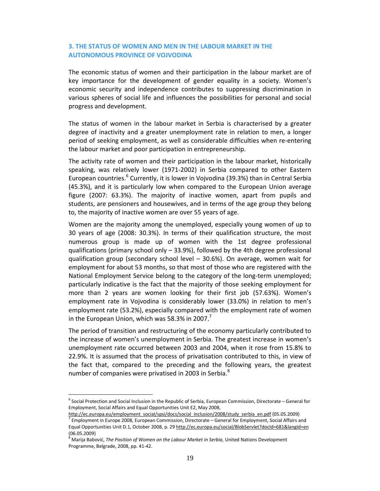# **3. THE STATUS OF WOMEN AND MEN IN THE LABOUR MARKET IN THE AUTONOMOUS PROVINCE OF VOJVODINA**

The economic status of women and their participation in the labour market are of key importance for the development of gender equality in a society. Women's economic security and independence contributes to suppressing discrimination in various spheres of social life and influences the possibilities for personal and social progress and development.

The status of women in the labour market in Serbia is characterised by a greater degree of inactivity and a greater unemployment rate in relation to men, a longer period of seeking employment, as well as considerable difficulties when re-entering the labour market and poor participation in entrepreneurship.

The activity rate of women and their participation in the labour market, historically speaking, was relatively lower (1971-2002) in Serbia compared to other Eastern European countries.<sup>6</sup> Currently, it is lower in Vojvodina (39.3%) than in Central Serbia (45.3%), and it is particularly low when compared to the European Union average figure (2007: 63.3%). The majority of inactive women, apart from pupils and students, are pensioners and housewives, and in terms of the age group they belong to, the majority of inactive women are over 55 years of age.

Women are the majority among the unemployed, especially young women of up to 30 years of age (2008: 30.3%). In terms of their qualification structure, the most numerous group is made up of women with the 1st degree professional qualifications (primary school only  $-$  33.9%), followed by the 4th degree professional qualification group (secondary school level – 30.6%). On average, women wait for employment for about 53 months, so that most of those who are registered with the National Employment Service belong to the category of the long-term unemployed; particularly indicative is the fact that the majority of those seeking employment for more than 2 years are women looking for their first job (57.63%). Women's employment rate in Vojvodina is considerably lower (33.0%) in relation to men's employment rate (53.2%), especially compared with the employment rate of women in the European Union, which was 58.3% in 2007.<sup>7</sup>

The period of transition and restructuring of the economy particularly contributed to the increase of women's unemployment in Serbia. The greatest increase in women's unemployment rate occurred between 2003 and 2004, when it rose from 15.8% to 22.9%. It is assumed that the process of privatisation contributed to this, in view of the fact that, compared to the preceding and the following years, the greatest number of companies were privatised in 2003 in Serbia. $^8$ 

-

<sup>&</sup>lt;sup>6</sup> Social Protection and Social Inclusion in the Republic of Serbia, European Commission, Directorate – General for Employment, Social Affairs and Equal Opportunities Unit E2, May 2008,

http://ec.europa.eu/employment\_social/spsi/docs/social\_inclusion/2008/study\_serbia\_en.pdf (05.05.2009)

<sup>&</sup>lt;sup>7</sup> Employment in Europe 2008, European Commission, Directorate – General for Employment, Social Affairs and Equal Opportunities Unit D.1, October 2008, p. 29 http://ec.europa.eu/social/BlobServlet?docId=681&langId=en (06.05.2009)

<sup>&</sup>lt;sup>8</sup> Marija Babović, *The Position of Women on the Labour Market in Serbia,* United Nations Development Programme, Belgrade, 2008, pp. 41-42.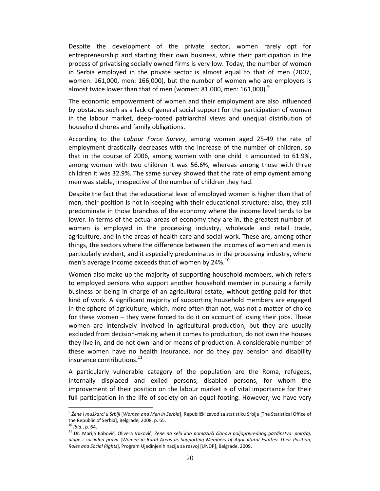Despite the development of the private sector, women rarely opt for entrepreneurship and starting their own business, while their participation in the process of privatising socially owned firms is very low. Today, the number of women in Serbia employed in the private sector is almost equal to that of men (2007, women: 161,000, men: 166,000), but the number of women who are employers is almost twice lower than that of men (women: 81,000, men: 161,000). $9$ 

The economic empowerment of women and their employment are also influenced by obstacles such as a lack of general social support for the participation of women in the labour market, deep-rooted patriarchal views and unequal distribution of household chores and family obligations.

According to the *Labour Force Survey*, among women aged 25-49 the rate of employment drastically decreases with the increase of the number of children, so that in the course of 2006, among women with one child it amounted to 61.9%, among women with two children it was 56.6%, whereas among those with three children it was 32.9%. The same survey showed that the rate of employment among men was stable, irrespective of the number of children they had.

Despite the fact that the educational level of employed women is higher than that of men, their position is not in keeping with their educational structure; also, they still predominate in those branches of the economy where the income level tends to be lower. In terms of the actual areas of economy they are in, the greatest number of women is employed in the processing industry, wholesale and retail trade, agriculture, and in the areas of health care and social work. These are, among other things, the sectors where the difference between the incomes of women and men is particularly evident, and it especially predominates in the processing industry, where men's average income exceeds that of women by 24%.<sup>10</sup>

Women also make up the majority of supporting household members, which refers to employed persons who support another household member in pursuing a family business or being in charge of an agricultural estate, without getting paid for that kind of work. A significant majority of supporting household members are engaged in the sphere of agriculture, which, more often than not, was not a matter of choice for these women – they were forced to do it on account of losing their jobs. These women are intensively involved in agricultural production, but they are usually excluded from decision-making when it comes to production, do not own the houses they live in, and do not own land or means of production. A considerable number of these women have no health insurance, nor do they pay pension and disability insurance contributions.<sup>11</sup>

A particularly vulnerable category of the population are the Roma, refugees, internally displaced and exiled persons, disabled persons, for whom the improvement of their position on the labour market is of vital importance for their full participation in the life of society on an equal footing. However, we have very

-

<sup>9</sup> *Žene i muškarci u Srbiji* [*Women and Men in Serbia*], Republički zavod za statistiku Srbije [The Statistical Office of the Republic of Serbia], Belgrade, 2008, p. 65.

<sup>10</sup> *Ibid.*, p. 64.

<sup>11</sup> Dr. Marija Babović, Olivera Vuković, *Žene na selu kao pomažući članovi poljoprivrednog gazdinstva: položaj, uloge i socijalna prava* [*Women in Rural Areas as Supporting Members of Agricultural Estates: Their Position, Roles and Social Rights*], Program Ujedinjenih nacija za razvoj [UNDP], Belgrade, 2009.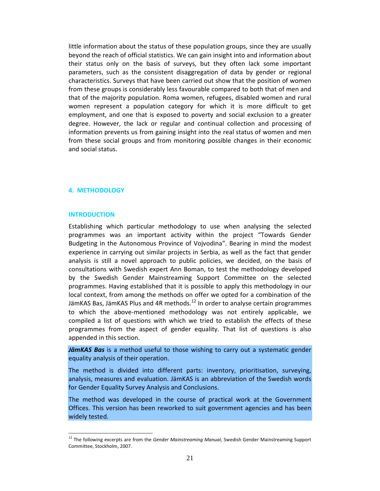little information about the status of these population groups, since they are usually beyond the reach of official statistics. We can gain insight into and information about their status only on the basis of surveys, but they often lack some important parameters, such as the consistent disaggregation of data by gender or regional characteristics. Surveys that have been carried out show that the position of women from these groups is considerably less favourable compared to both that of men and that of the majority population. Roma women, refugees, disabled women and rural women represent a population category for which it is more difficult to get employment, and one that is exposed to poverty and social exclusion to a greater degree. However, the lack or regular and continual collection and processing of information prevents us from gaining insight into the real status of women and men from these social groups and from monitoring possible changes in their economic and social status.

### **4. METHODOLOGY**

### **INTRODUCTION**

-

Establishing which particular methodology to use when analysing the selected programmes was an important activity within the project "Towards Gender Budgeting in the Autonomous Province of Vojvodina". Bearing in mind the modest experience in carrying out similar projects in Serbia, as well as the fact that gender analysis is still a novel approach to public policies, we decided, on the basis of consultations with Swedish expert Ann Boman, to test the methodology developed by the Swedish Gender Mainstreaming Support Committee on the selected programmes. Having established that it is possible to apply this methodology in our local context, from among the methods on offer we opted for a combination of the JämKAS Bas, JämKAS Plus and 4R methods.<sup>12</sup> In order to analyse certain programmes to which the above-mentioned methodology was not entirely applicable, we compiled a list of questions with which we tried to establish the effects of these programmes from the aspect of gender equality. That list of questions is also appended in this section.

*JämKAS Bas* is a method useful to those wishing to carry out a systematic gender equality analysis of their operation.

The method is divided into different parts: inventory, prioritisation, surveying, analysis, measures and evaluation. JämKAS is an abbreviation of the Swedish words for Gender Equality Survey Analysis and Conclusions.

The method was developed in the course of practical work at the Government Offices. This version has been reworked to suit government agencies and has been widely tested.

<sup>12</sup> The following excerpts are from the *Gender Mainstreaming Manual,* Swedish Gender Mainstreaming Support Committee, Stockholm, 2007.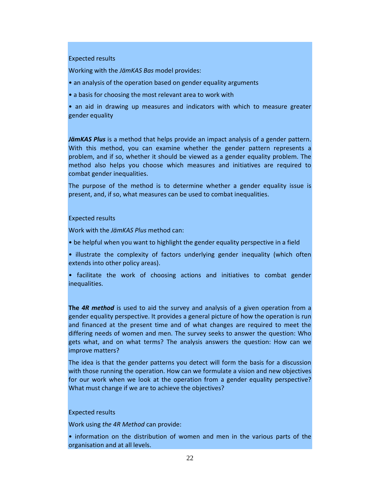### Expected results

Working with the *JämKAS Bas* model provides:

- an analysis of the operation based on gender equality arguments
- a basis for choosing the most relevant area to work with

• an aid in drawing up measures and indicators with which to measure greater gender equality

JämKAS Plus is a method that helps provide an impact analysis of a gender pattern. With this method, you can examine whether the gender pattern represents a problem, and if so, whether it should be viewed as a gender equality problem. The method also helps you choose which measures and initiatives are required to combat gender inequalities.

The purpose of the method is to determine whether a gender equality issue is present, and, if so, what measures can be used to combat inequalities.

### Expected results

Work with the *JämKAS Plus* method can:

- be helpful when you want to highlight the gender equality perspective in a field
- illustrate the complexity of factors underlying gender inequality (which often extends into other policy areas).
- facilitate the work of choosing actions and initiatives to combat gender inequalities.

**The** *4R method* is used to aid the survey and analysis of a given operation from a gender equality perspective. It provides a general picture of how the operation is run and financed at the present time and of what changes are required to meet the differing needs of women and men. The survey seeks to answer the question: Who gets what, and on what terms? The analysis answers the question: How can we improve matters?

The idea is that the gender patterns you detect will form the basis for a discussion with those running the operation. How can we formulate a vision and new objectives for our work when we look at the operation from a gender equality perspective? What must change if we are to achieve the objectives?

### Expected results

Work using *the 4R Method* can provide:

• information on the distribution of women and men in the various parts of the organisation and at all levels.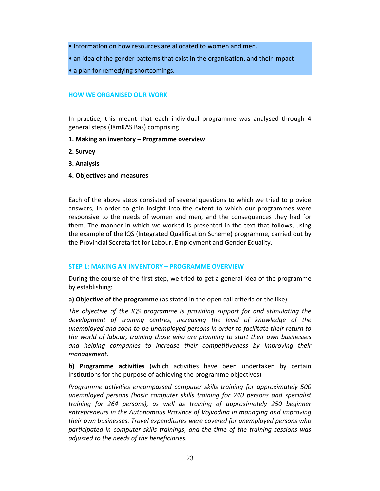• information on how resources are allocated to women and men.

• an idea of the gender patterns that exist in the organisation, and their impact

• a plan for remedying shortcomings.

### **HOW WE ORGANISED OUR WORK**

In practice, this meant that each individual programme was analysed through 4 general steps (JämKAS Bas) comprising:

# **1. Making an inventory – Programme overview**

- **2. Survey**
- **3. Analysis**
- **4. Objectives and measures**

Each of the above steps consisted of several questions to which we tried to provide answers, in order to gain insight into the extent to which our programmes were responsive to the needs of women and men, and the consequences they had for them. The manner in which we worked is presented in the text that follows, using the example of the IQS (Integrated Qualification Scheme) programme, carried out by the Provincial Secretariat for Labour, Employment and Gender Equality.

### **STEP 1: MAKING AN INVENTORY – PROGRAMME OVERVIEW**

During the course of the first step, we tried to get a general idea of the programme by establishing:

**a) Objective of the programme** (as stated in the open call criteria or the like)

*The objective of the IQS programme is providing support for and stimulating the development of training centres, increasing the level of knowledge of the unemployed and soon-to-be unemployed persons in order to facilitate their return to the world of labour, training those who are planning to start their own businesses and helping companies to increase their competitiveness by improving their management.* 

**b) Programme activities** (which activities have been undertaken by certain institutions for the purpose of achieving the programme objectives)

*Programme activities encompassed computer skills training for approximately 500 unemployed persons (basic computer skills training for 240 persons and specialist training for 264 persons), as well as training of approximately 250 beginner entrepreneurs in the Autonomous Province of Vojvodina in managing and improving their own businesses. Travel expenditures were covered for unemployed persons who participated in computer skills trainings, and the time of the training sessions was adjusted to the needs of the beneficiaries.*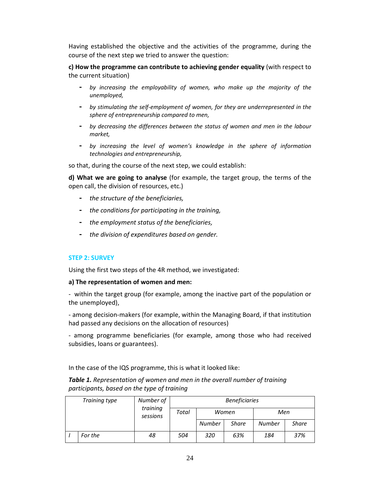Having established the objective and the activities of the programme, during the course of the next step we tried to answer the question:

**c) How the programme can contribute to achieving gender equality** (with respect to the current situation)

- **-** *by increasing the employability of women, who make up the majority of the unemployed,*
- **-** *by stimulating the self-employment of women, for they are underrepresented in the sphere of entrepreneurship compared to men,*
- **-** *by decreasing the differences between the status of women and men in the labour market,*
- **-** *by increasing the level of women's knowledge in the sphere of information technologies and entrepreneurship,*

so that, during the course of the next step, we could establish:

**d) What we are going to analyse** (for example, the target group, the terms of the open call, the division of resources, etc.)

- **-** *the structure of the beneficiaries,*
- **-** *the conditions for participating in the training,*
- **-** *the employment status of the beneficiaries,*
- **-** *the division of expenditures based on gender.*

### **STEP 2: SURVEY**

Using the first two steps of the 4R method, we investigated:

### **a) The representation of women and men:**

- within the target group (for example, among the inactive part of the population or the unemployed),

- among decision-makers (for example, within the Managing Board, if that institution had passed any decisions on the allocation of resources)

- among programme beneficiaries (for example, among those who had received subsidies, loans or guarantees).

In the case of the IQS programme, this is what it looked like:

*Table 1. Representation of women and men in the overall number of training participants, based on the type of training* 

| Training type |         | Number of<br>training<br>sessions | <b>Beneficiaries</b> |               |              |               |              |  |
|---------------|---------|-----------------------------------|----------------------|---------------|--------------|---------------|--------------|--|
|               |         |                                   | Total                | Women         |              | Men           |              |  |
|               |         |                                   |                      | <b>Number</b> | <b>Share</b> | <b>Number</b> | <b>Share</b> |  |
|               | For the | 48                                | 504                  | 320           | 63%          | 184           | 37%          |  |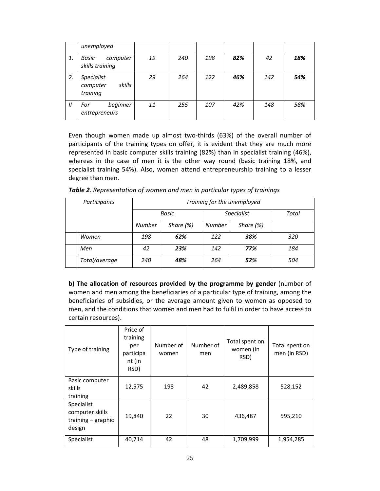|                   | unemployed                                          |    |     |     |     |     |     |
|-------------------|-----------------------------------------------------|----|-----|-----|-----|-----|-----|
| 1.                | Basic<br>computer<br>skills training                | 19 | 240 | 198 | 82% | 42  | 18% |
| 2.                | <b>Specialist</b><br>skills<br>computer<br>training | 29 | 264 | 122 | 46% | 142 | 54% |
| $^{\prime\prime}$ | beginner<br>For<br>entrepreneurs                    | 11 | 255 | 107 | 42% | 148 | 58% |

Even though women made up almost two-thirds (63%) of the overall number of participants of the training types on offer, it is evident that they are much more represented in basic computer skills training (82%) than in specialist training (46%), whereas in the case of men it is the other way round (basic training 18%, and specialist training 54%). Also, women attend entrepreneurship training to a lesser degree than men.

| Participants |               | Training for the unemployed |             |                   |             |       |  |  |
|--------------|---------------|-----------------------------|-------------|-------------------|-------------|-------|--|--|
|              |               | <b>Basic</b>                |             | <b>Specialist</b> |             | Total |  |  |
|              |               | <b>Number</b>               | Share $(%)$ | Number            | Share $(%)$ |       |  |  |
|              | Women         | 198                         | 62%         | 122               | 38%         | 320   |  |  |
|              | Men           | 42                          | 23%         | 142               | 77%         | 184   |  |  |
|              | Total/average | 240                         | 48%         | 264               | 52%         | 504   |  |  |

*Table 2. Representation of women and men in particular types of trainings* 

**b) The allocation of resources provided by the programme by gender** (number of women and men among the beneficiaries of a particular type of training, among the beneficiaries of subsidies, or the average amount given to women as opposed to men, and the conditions that women and men had to fulfil in order to have access to certain resources).

| Type of training                                                | Price of<br>training<br>per<br>participa<br>nt (in<br>RSD) | Number of<br>women | Number of<br>men | Total spent on<br>women (in<br>RSD) | Total spent on<br>men (in RSD) |
|-----------------------------------------------------------------|------------------------------------------------------------|--------------------|------------------|-------------------------------------|--------------------------------|
| <b>Basic computer</b><br>skills<br>training                     | 12,575                                                     | 198                | 42               | 2,489,858                           | 528,152                        |
| Specialist<br>computer skills<br>training $-$ graphic<br>design | 19,840                                                     | 22                 | 30               | 436,487                             | 595,210                        |
| Specialist                                                      | 40,714                                                     | 42                 | 48               | 1,709,999                           | 1,954,285                      |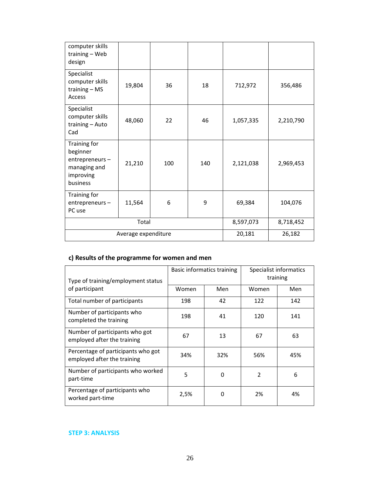| computer skills<br>training - Web<br>design                                         |                     |           |           |           |           |
|-------------------------------------------------------------------------------------|---------------------|-----------|-----------|-----------|-----------|
| Specialist<br>computer skills<br>training $-$ MS<br><b>Access</b>                   | 19,804              | 36        | 18        | 712,972   | 356,486   |
| Specialist<br>computer skills<br>training - Auto<br>Cad                             | 48,060              | 22        | 46        | 1,057,335 | 2,210,790 |
| Training for<br>beginner<br>entrepreneurs-<br>managing and<br>improving<br>business | 21,210              | 100       | 140       | 2,121,038 | 2,969,453 |
| Training for<br>entrepreneurs-<br>PC use                                            | 11,564              | 6         | 9         | 69,384    | 104,076   |
|                                                                                     | Total               | 8,597,073 | 8,718,452 |           |           |
|                                                                                     | Average expenditure | 20,181    | 26,182    |           |           |

# **c) Results of the programme for women and men**

| Type of training/employment status                                |       | Basic informatics training | Specialist informatics<br>training |     |
|-------------------------------------------------------------------|-------|----------------------------|------------------------------------|-----|
| of participant                                                    | Women | Men                        | Women                              | Men |
| Total number of participants                                      | 198   | 42                         | 122                                | 142 |
| Number of participants who<br>completed the training              | 198   | 41                         | 120                                | 141 |
| Number of participants who got<br>employed after the training     | 67    | 13                         | 67                                 | 63  |
| Percentage of participants who got<br>employed after the training | 34%   | 32%                        | 56%                                | 45% |
| Number of participants who worked<br>part-time                    | 5     | 0                          | $\overline{2}$                     | 6   |
| Percentage of participants who<br>worked part-time                | 2,5%  | 0                          | 2%                                 | 4%  |

# **STEP 3: ANALYSIS**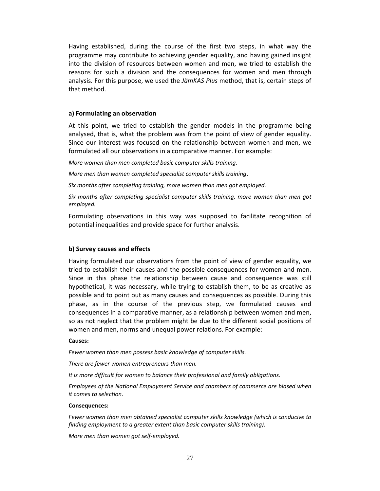Having established, during the course of the first two steps, in what way the programme may contribute to achieving gender equality, and having gained insight into the division of resources between women and men, we tried to establish the reasons for such a division and the consequences for women and men through analysis. For this purpose, we used the *JämKAS Plus* method, that is, certain steps of that method.

### **a) Formulating an observation**

At this point, we tried to establish the gender models in the programme being analysed, that is, what the problem was from the point of view of gender equality. Since our interest was focused on the relationship between women and men, we formulated all our observations in a comparative manner. For example:

*More women than men completed basic computer skills training.* 

*More men than women completed specialist computer skills training*.

*Six months after completing training, more women than men got employed.* 

*Six months after completing specialist computer skills training, more women than men got employed.* 

Formulating observations in this way was supposed to facilitate recognition of potential inequalities and provide space for further analysis.

### **b) Survey causes and effects**

Having formulated our observations from the point of view of gender equality, we tried to establish their causes and the possible consequences for women and men. Since in this phase the relationship between cause and consequence was still hypothetical, it was necessary, while trying to establish them, to be as creative as possible and to point out as many causes and consequences as possible. During this phase, as in the course of the previous step, we formulated causes and consequences in a comparative manner, as a relationship between women and men, so as not neglect that the problem might be due to the different social positions of women and men, norms and unequal power relations. For example:

### **Causes:**

*Fewer women than men possess basic knowledge of computer skills.* 

*There are fewer women entrepreneurs than men.* 

*It is more difficult for women to balance their professional and family obligations.* 

*Employees of the National Employment Service and chambers of commerce are biased when it comes to selection.* 

### **Consequences:**

*Fewer women than men obtained specialist computer skills knowledge (which is conducive to finding employment to a greater extent than basic computer skills training).* 

*More men than women got self-employed.*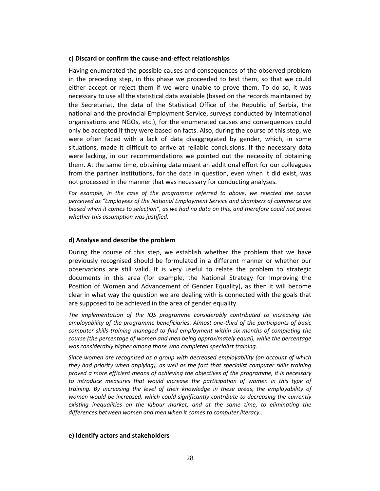### **c) Discard or confirm the cause-and-effect relationships**

Having enumerated the possible causes and consequences of the observed problem in the preceding step, in this phase we proceeded to test them, so that we could either accept or reject them if we were unable to prove them. To do so, it was necessary to use all the statistical data available (based on the records maintained by the Secretariat, the data of the Statistical Office of the Republic of Serbia, the national and the provincial Employment Service, surveys conducted by international organisations and NGOs, etc.), for the enumerated causes and consequences could only be accepted if they were based on facts. Also, during the course of this step, we were often faced with a lack of data disaggregated by gender, which, in some situations, made it difficult to arrive at reliable conclusions. If the necessary data were lacking, in our recommendations we pointed out the necessity of obtaining them. At the same time, obtaining data meant an additional effort for our colleagues from the partner institutions, for the data in question, even when it did exist, was not processed in the manner that was necessary for conducting analyses.

For example, in the case of the programme referred to above, we rejected the cause *perceived as "Employees of the National Employment Service and chambers of commerce are biased when it comes to selection", as we had no data on this, and therefore could not prove whether this assumption was justified.* 

### **d) Analyse and describe the problem**

During the course of this step, we establish whether the problem that we have previously recognised should be formulated in a different manner or whether our observations are still valid. It is very useful to relate the problem to strategic documents in this area (for example, the National Strategy for Improving the Position of Women and Advancement of Gender Equality), as then it will become clear in what way the question we are dealing with is connected with the goals that are supposed to be achieved in the area of gender equality.

*The implementation of the IQS programme considerably contributed to increasing the employability of the programme beneficiaries. Almost one-third of the participants of basic computer skills training managed to find employment within six months of completing the course (the percentage of women and men being approximately equal), while the percentage was considerably higher among those who completed specialist training.* 

*Since women are recognised as a group with decreased employability (on account of which they had priority when applying), as well as the fact that specialist computer skills training proved a more efficient means of achieving the objectives of the programme, it is necessary*  to introduce measures that would increase the participation of women in this type of *training. By increasing the level of their knowledge in these areas, the employability of women would be increased, which could significantly contribute to decreasing the currently existing inequalities on the labour market, and at the same time, to eliminating the differences between women and men when it comes to computer literacy..* 

### **e) Identify actors and stakeholders**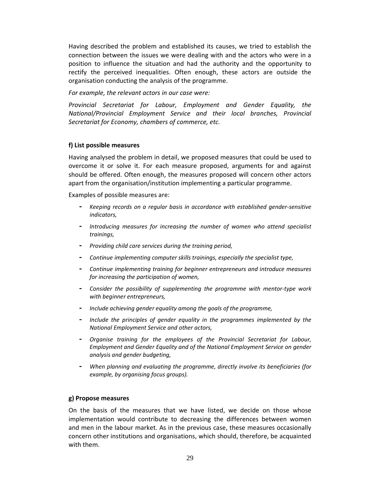Having described the problem and established its causes, we tried to establish the connection between the issues we were dealing with and the actors who were in a position to influence the situation and had the authority and the opportunity to rectify the perceived inequalities. Often enough, these actors are outside the organisation conducting the analysis of the programme.

*For example, the relevant actors in our case were:* 

*Provincial Secretariat for Labour, Employment and Gender Equality, the National/Provincial Employment Service and their local branches, Provincial Secretariat for Economy, chambers of commerce, etc.*

# **f) List possible measures**

Having analysed the problem in detail, we proposed measures that could be used to overcome it or solve it. For each measure proposed, arguments for and against should be offered. Often enough, the measures proposed will concern other actors apart from the organisation/institution implementing a particular programme.

Examples of possible measures are:

- **-** *Keeping records on a regular basis in accordance with established gender-sensitive indicators,*
- **-** *Introducing measures for increasing the number of women who attend specialist trainings,*
- **-** *Providing child care services during the training period,*
- **-** *Continue implementing computer skills trainings, especially the specialist type,*
- **-** *Continue implementing training for beginner entrepreneurs and introduce measures for increasing the participation of women,*
- **-** *Consider the possibility of supplementing the programme with mentor-type work with beginner entrepreneurs,*
- **-** *Include achieving gender equality among the goals of the programme,*
- **-** *Include the principles of gender equality in the programmes implemented by the National Employment Service and other actors,*
- **-** *Organise training for the employees of the Provincial Secretariat for Labour, Employment and Gender Equality and of the National Employment Service on gender analysis and gender budgeting,*
- **-** *When planning and evaluating the programme, directly involve its beneficiaries (for example, by organising focus groups).*

### **g) Propose measures**

On the basis of the measures that we have listed, we decide on those whose implementation would contribute to decreasing the differences between women and men in the labour market. As in the previous case, these measures occasionally concern other institutions and organisations, which should, therefore, be acquainted with them.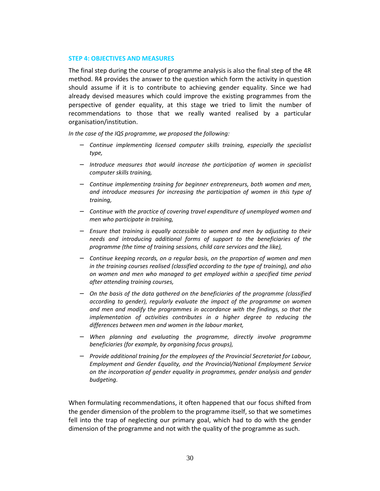### **STEP 4: OBJECTIVES AND MEASURES**

The final step during the course of programme analysis is also the final step of the 4R method. R4 provides the answer to the question which form the activity in question should assume if it is to contribute to achieving gender equality. Since we had already devised measures which could improve the existing programmes from the perspective of gender equality, at this stage we tried to limit the number of recommendations to those that we really wanted realised by a particular organisation/institution.

*In the case of the IQS programme, we proposed the following:* 

- − *Continue implementing licensed computer skills training, especially the specialist type,*
- − *Introduce measures that would increase the participation of women in specialist computer skills training,*
- − *Continue implementing training for beginner entrepreneurs, both women and men, and introduce measures for increasing the participation of women in this type of training,*
- − *Continue with the practice of covering travel expenditure of unemployed women and men who participate in training,*
- − *Ensure that training is equally accessible to women and men by adjusting to their needs and introducing additional forms of support to the beneficiaries of the programme (the time of training sessions, child care services and the like),*
- − *Continue keeping records, on a regular basis, on the proportion of women and men in the training courses realised (classified according to the type of training), and also on women and men who managed to get employed within a specified time period after attending training courses,*
- − *On the basis of the data gathered on the beneficiaries of the programme (classified according to gender), regularly evaluate the impact of the programme on women and men and modify the programmes in accordance with the findings, so that the implementation of activities contributes in a higher degree to reducing the differences between men and women in the labour market,*
- − *When planning and evaluating the programme, directly involve programme beneficiaries (for example, by organising focus groups),*
- − *Provide additional training for the employees of the Provincial Secretariat for Labour, Employment and Gender Equality, and the Provincial/National Employment Service on the incorporation of gender equality in programmes, gender analysis and gender budgeting.*

When formulating recommendations, it often happened that our focus shifted from the gender dimension of the problem to the programme itself, so that we sometimes fell into the trap of neglecting our primary goal, which had to do with the gender dimension of the programme and not with the quality of the programme as such.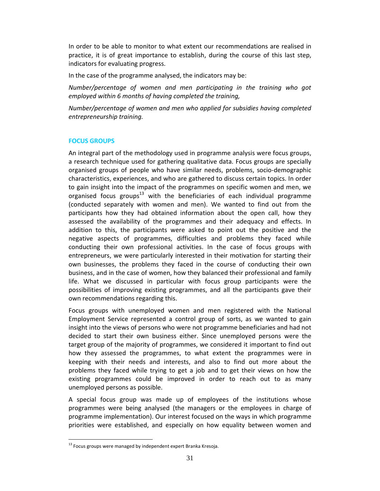In order to be able to monitor to what extent our recommendations are realised in practice, it is of great importance to establish, during the course of this last step, indicators for evaluating progress.

In the case of the programme analysed, the indicators may be:

*Number/percentage of women and men participating in the training who got employed within 6 months of having completed the training,* 

*Number/percentage of women and men who applied for subsidies having completed entrepreneurship training.* 

# **FOCUS GROUPS**

An integral part of the methodology used in programme analysis were focus groups, a research technique used for gathering qualitative data. Focus groups are specially organised groups of people who have similar needs, problems, socio-demographic characteristics, experiences, and who are gathered to discuss certain topics. In order to gain insight into the impact of the programmes on specific women and men, we organised focus groups<sup>13</sup> with the beneficiaries of each individual programme (conducted separately with women and men). We wanted to find out from the participants how they had obtained information about the open call, how they assessed the availability of the programmes and their adequacy and effects. In addition to this, the participants were asked to point out the positive and the negative aspects of programmes, difficulties and problems they faced while conducting their own professional activities. In the case of focus groups with entrepreneurs, we were particularly interested in their motivation for starting their own businesses, the problems they faced in the course of conducting their own business, and in the case of women, how they balanced their professional and family life. What we discussed in particular with focus group participants were the possibilities of improving existing programmes, and all the participants gave their own recommendations regarding this.

Focus groups with unemployed women and men registered with the National Employment Service represented a control group of sorts, as we wanted to gain insight into the views of persons who were not programme beneficiaries and had not decided to start their own business either. Since unemployed persons were the target group of the majority of programmes, we considered it important to find out how they assessed the programmes, to what extent the programmes were in keeping with their needs and interests, and also to find out more about the problems they faced while trying to get a job and to get their views on how the existing programmes could be improved in order to reach out to as many unemployed persons as possible.

A special focus group was made up of employees of the institutions whose programmes were being analysed (the managers or the employees in charge of programme implementation). Our interest focused on the ways in which programme priorities were established, and especially on how equality between women and

-

 $13$  Focus groups were managed by independent expert Branka Kresoja.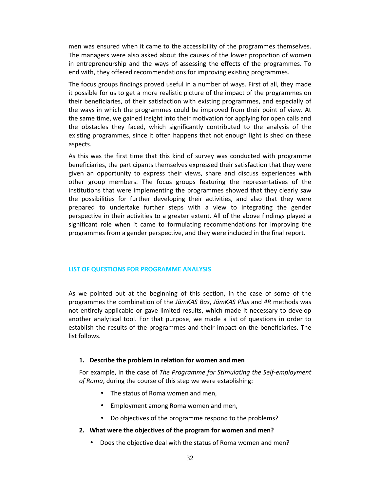men was ensured when it came to the accessibility of the programmes themselves. The managers were also asked about the causes of the lower proportion of women in entrepreneurship and the ways of assessing the effects of the programmes. To end with, they offered recommendations for improving existing programmes.

The focus groups findings proved useful in a number of ways. First of all, they made it possible for us to get a more realistic picture of the impact of the programmes on their beneficiaries, of their satisfaction with existing programmes, and especially of the ways in which the programmes could be improved from their point of view. At the same time, we gained insight into their motivation for applying for open calls and the obstacles they faced, which significantly contributed to the analysis of the existing programmes, since it often happens that not enough light is shed on these aspects.

As this was the first time that this kind of survey was conducted with programme beneficiaries, the participants themselves expressed their satisfaction that they were given an opportunity to express their views, share and discuss experiences with other group members. The focus groups featuring the representatives of the institutions that were implementing the programmes showed that they clearly saw the possibilities for further developing their activities, and also that they were prepared to undertake further steps with a view to integrating the gender perspective in their activities to a greater extent. All of the above findings played a significant role when it came to formulating recommendations for improving the programmes from a gender perspective, and they were included in the final report.

### **LIST OF QUESTIONS FOR PROGRAMME ANALYSIS**

As we pointed out at the beginning of this section, in the case of some of the programmes the combination of the *JämKAS Bas*, *JämKAS Plus* and *4R* methods was not entirely applicable or gave limited results, which made it necessary to develop another analytical tool. For that purpose, we made a list of questions in order to establish the results of the programmes and their impact on the beneficiaries. The list follows.

### **1. Describe the problem in relation for women and men**

For example, in the case of *The Programme for Stimulating the Self-employment of Roma*, during the course of this step we were establishing:

- The status of Roma women and men,
- Employment among Roma women and men,
- Do objectives of the programme respond to the problems?

### **2. What were the objectives of the program for women and men?**

• Does the objective deal with the status of Roma women and men?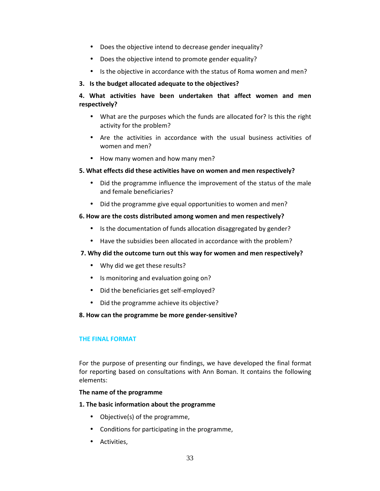- Does the objective intend to decrease gender inequality?
- Does the objective intend to promote gender equality?
- Is the objective in accordance with the status of Roma women and men?

# **3. Is the budget allocated adequate to the objectives?**

# **4. What activities have been undertaken that affect women and men respectively?**

- What are the purposes which the funds are allocated for? Is this the right activity for the problem?
- Are the activities in accordance with the usual business activities of women and men?
- How many women and how many men?

# **5. What effects did these activities have on women and men respectively?**

- Did the programme influence the improvement of the status of the male and female beneficiaries?
- Did the programme give equal opportunities to women and men?

# **6. How are the costs distributed among women and men respectively?**

- Is the documentation of funds allocation disaggregated by gender?
- Have the subsidies been allocated in accordance with the problem?

# **7. Why did the outcome turn out this way for women and men respectively?**

- Why did we get these results?
- Is monitoring and evaluation going on?
- Did the beneficiaries get self-employed?
- Did the programme achieve its objective?

# **8. How can the programme be more gender-sensitive?**

# **THE FINAL FORMAT**

For the purpose of presenting our findings, we have developed the final format for reporting based on consultations with Ann Boman. It contains the following elements:

# **The name of the programme**

# **1. The basic information about the programme**

- Objective(s) of the programme,
- Conditions for participating in the programme,
- Activities,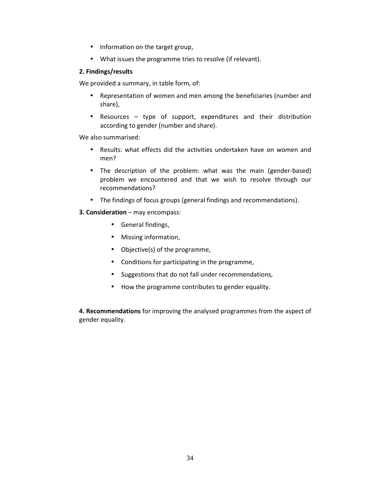- Information on the target group,
- What issues the programme tries to resolve (if relevant).

# **2. Findings/results**

We provided a summary, in table form, of:

- Representation of women and men among the beneficiaries (number and share),
- Resources type of support, expenditures and their distribution according to gender (number and share).

We also summarised:

- Results: what effects did the activities undertaken have on women and men?
- The description of the problem: what was the main (gender-based) problem we encountered and that we wish to resolve through our recommendations?
- The findings of focus groups (general findings and recommendations).
- **3. Consideration** may encompass:
	- General findings,
	- Missing information,
	- Objective(s) of the programme,
	- Conditions for participating in the programme,
	- Suggestions that do not fall under recommendations,
	- How the programme contributes to gender equality.

**4. Recommendations** for improving the analysed programmes from the aspect of gender equality.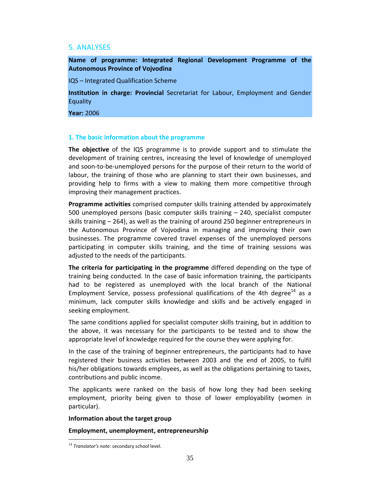# 5. ANALYSES

**Name of programme: Integrated Regional Development Programme of the Autonomous Province of Vojvodina** 

IQS – Integrated Qualification Scheme

**Institution in charge: Provincial** Secretariat for Labour, Employment and Gender Equality

**Year:** 2006

### **1. The basic information about the programme**

**The objective** of the IQS programme is to provide support and to stimulate the development of training centres, increasing the level of knowledge of unemployed and soon-to-be-unemployed persons for the purpose of their return to the world of labour, the training of those who are planning to start their own businesses, and providing help to firms with a view to making them more competitive through improving their management practices.

**Programme activities** comprised computer skills training attended by approximately 500 unemployed persons (basic computer skills training – 240, specialist computer skills training – 264), as well as the training of around 250 beginner entrepreneurs in the Autonomous Province of Vojvodina in managing and improving their own businesses. The programme covered travel expenses of the unemployed persons participating in computer skills training, and the time of training sessions was adjusted to the needs of the participants.

**The criteria for participating in the programme** differed depending on the type of training being conducted. In the case of basic information training, the participants had to be registered as unemployed with the local branch of the National Employment Service, possess professional qualifications of the 4th degree $14$  as a minimum, lack computer skills knowledge and skills and be actively engaged in seeking employment.

The same conditions applied for specialist computer skills training, but in addition to the above, it was necessary for the participants to be tested and to show the appropriate level of knowledge required for the course they were applying for.

In the case of the training of beginner entrepreneurs, the participants had to have registered their business activities between 2003 and the end of 2005, to fulfil his/her obligations towards employees, as well as the obligations pertaining to taxes, contributions and public income.

The applicants were ranked on the basis of how long they had been seeking employment, priority being given to those of lower employability (women in particular).

### **Information about the target group**

### **Employment, unemployment, entrepreneurship**

<sup>-</sup><sup>14</sup> *Translator's note:* secondary school level.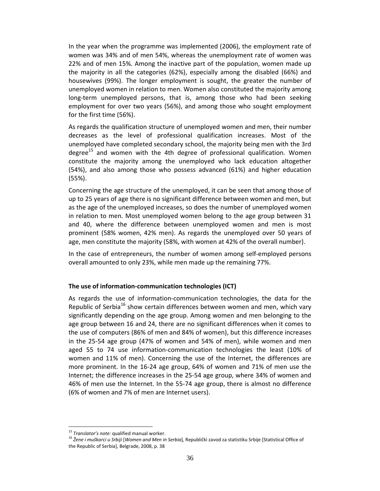In the year when the programme was implemented (2006), the employment rate of women was 34% and of men 54%, whereas the unemployment rate of women was 22% and of men 15%. Among the inactive part of the population, women made up the majority in all the categories (62%), especially among the disabled (66%) and housewives (99%). The longer employment is sought, the greater the number of unemployed women in relation to men. Women also constituted the majority among long-term unemployed persons, that is, among those who had been seeking employment for over two years (56%), and among those who sought employment for the first time (56%).

As regards the qualification structure of unemployed women and men, their number decreases as the level of professional qualification increases. Most of the unemployed have completed secondary school, the majority being men with the 3rd degree<sup>15</sup> and women with the 4th degree of professional qualification. Women constitute the majority among the unemployed who lack education altogether (54%), and also among those who possess advanced (61%) and higher education (55%).

Concerning the age structure of the unemployed, it can be seen that among those of up to 25 years of age there is no significant difference between women and men, but as the age of the unemployed increases, so does the number of unemployed women in relation to men. Most unemployed women belong to the age group between 31 and 40, where the difference between unemployed women and men is most prominent (58% women, 42% men). As regards the unemployed over 50 years of age, men constitute the majority (58%, with women at 42% of the overall number).

In the case of entrepreneurs, the number of women among self-employed persons overall amounted to only 23%, while men made up the remaining 77%.

### **The use of information-communication technologies (ICT)**

As regards the use of information-communication technologies, the data for the Republic of Serbia<sup>16</sup> show certain differences between women and men, which vary significantly depending on the age group. Among women and men belonging to the age group between 16 and 24, there are no significant differences when it comes to the use of computers (86% of men and 84% of women), but this difference increases in the 25-54 age group (47% of women and 54% of men), while women and men aged 55 to 74 use information-communication technologies the least (10% of women and 11% of men). Concerning the use of the Internet, the differences are more prominent. In the 16-24 age group, 64% of women and 71% of men use the Internet; the difference increases in the 25-54 age group, where 34% of women and 46% of men use the Internet. In the 55-74 age group, there is almost no difference (6% of women and 7% of men are Internet users).

-

<sup>15</sup> *Translator's note:* qualified manual worker.

<sup>16</sup> *Žene i muškarci u Srbiji* [*Women and Men in Serbia*]*,* Republički zavod za statistiku Srbije [Statistical Office of the Republic of Serbia], Belgrade, 2008, p. 38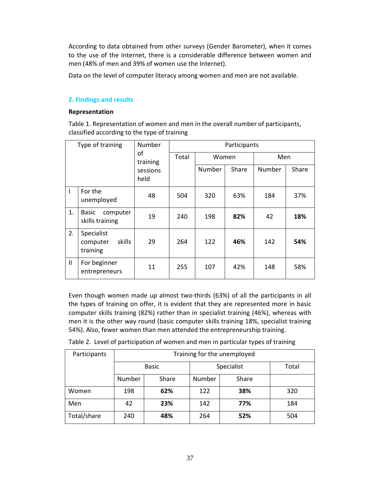According to data obtained from other surveys (Gender Barometer), when it comes to the use of the Internet, there is a considerable difference between women and men (48% of men and 39% of women use the Internet).

Data on the level of computer literacy among women and men are not available.

# **2. Findings and results**

# **Representation**

Table 1. Representation of women and men in the overall number of participants, classified according to the type of training

| Type of training |                                              | Number                             | Participants |        |       |        |       |
|------------------|----------------------------------------------|------------------------------------|--------------|--------|-------|--------|-------|
|                  |                                              | of<br>training<br>sessions<br>held | Total        | Women  |       | Men    |       |
|                  |                                              |                                    |              | Number | Share | Number | Share |
| I                | For the<br>unemployed                        | 48                                 | 504          | 320    | 63%   | 184    | 37%   |
| 1.               | Basic<br>computer<br>skills training         | 19                                 | 240          | 198    | 82%   | 42     | 18%   |
| 2.               | Specialist<br>skills<br>computer<br>training | 29                                 | 264          | 122    | 46%   | 142    | 54%   |
| $\mathbf{H}$     | For beginner<br>entrepreneurs                | 11                                 | 255          | 107    | 42%   | 148    | 58%   |

Even though women made up almost two-thirds (63%) of all the participants in all the types of training on offer, it is evident that they are represented more in basic computer skills training (82%) rather than in specialist training (46%), whereas with men it is the other way round (basic computer skills training 18%, specialist training 54%). Also, fewer women than men attended the entrepreneurship training.

| Participants | Training for the unemployed |       |            |       |       |  |
|--------------|-----------------------------|-------|------------|-------|-------|--|
|              |                             |       |            |       |       |  |
|              | <b>Basic</b>                |       | Specialist |       | Total |  |
|              | Number                      | Share | Number     | Share |       |  |
| Women        | 198                         | 62%   | 122        | 38%   | 320   |  |
| Men          | 42                          | 23%   | 142        | 77%   | 184   |  |
| Total/share  | 240                         | 48%   | 264        | 52%   | 504   |  |

Table 2. Level of participation of women and men in particular types of training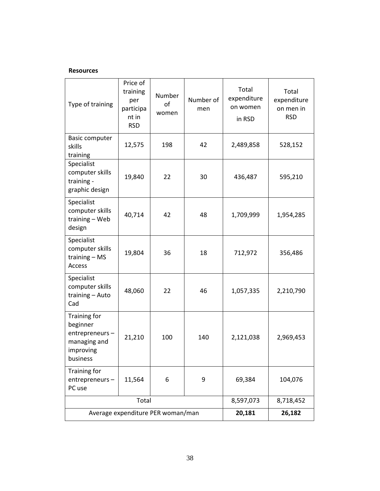## **Resources**

| Type of training                                                                    | Price of<br>training<br>per<br>participa<br>nt in<br><b>RSD</b> | Number<br>of<br>women | Number of<br>men | Total<br>expenditure<br>on women<br>in RSD | Total<br>expenditure<br>on men in<br><b>RSD</b> |
|-------------------------------------------------------------------------------------|-----------------------------------------------------------------|-----------------------|------------------|--------------------------------------------|-------------------------------------------------|
| <b>Basic computer</b><br>skills<br>training                                         | 12,575                                                          | 198                   | 42               | 2,489,858                                  | 528,152                                         |
| Specialist<br>computer skills<br>training -<br>graphic design                       | 19,840                                                          | 22                    | 30               | 436,487                                    | 595,210                                         |
| Specialist<br>computer skills<br>training - Web<br>design                           | 42<br>40,714<br>48                                              |                       |                  | 1,709,999                                  | 1,954,285                                       |
| Specialist<br>computer skills<br>training $-$ MS<br>Access                          | 19,804                                                          | 36                    | 18               | 712,972                                    | 356,486                                         |
| Specialist<br>computer skills<br>training - Auto<br>Cad                             | 48,060                                                          | 22                    | 46               | 1,057,335                                  | 2,210,790                                       |
| Training for<br>beginner<br>entrepreneurs-<br>managing and<br>improving<br>business | 21,210                                                          | 100                   | 140              | 2,121,038                                  | 2,969,453                                       |
| <b>Training for</b><br>entrepreneurs-<br>PC use                                     | 11,564                                                          | 6                     | 9                | 69,384                                     | 104,076                                         |
|                                                                                     | Total                                                           |                       | 8,597,073        | 8,718,452                                  |                                                 |
|                                                                                     | Average expenditure PER woman/man                               | 20,181                | 26,182           |                                            |                                                 |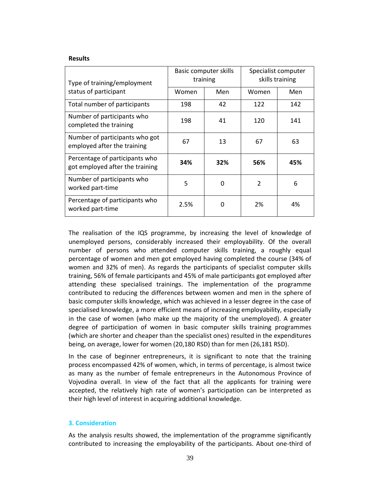#### **Results**

| Type of training/employment                                       | Basic computer skills<br>training |          | Specialist computer<br>skills training |     |
|-------------------------------------------------------------------|-----------------------------------|----------|----------------------------------------|-----|
| status of participant                                             | Women                             | Men      | Women                                  | Men |
| Total number of participants                                      | 198                               | 42       | 122                                    | 142 |
| Number of participants who<br>completed the training              | 198                               | 41       | 120                                    | 141 |
| Number of participants who got<br>employed after the training     | 67                                | 13       | 67                                     | 63  |
| Percentage of participants who<br>got employed after the training | 34%                               | 32%      | 56%                                    | 45% |
| Number of participants who<br>worked part-time                    | 5                                 | $\Omega$ | $\overline{2}$                         | 6   |
| Percentage of participants who<br>worked part-time                | 2.5%                              | 0        | 2%                                     | 4%  |

The realisation of the IQS programme, by increasing the level of knowledge of unemployed persons, considerably increased their employability. Of the overall number of persons who attended computer skills training, a roughly equal percentage of women and men got employed having completed the course (34% of women and 32% of men). As regards the participants of specialist computer skills training, 56% of female participants and 45% of male participants got employed after attending these specialised trainings. The implementation of the programme contributed to reducing the differences between women and men in the sphere of basic computer skills knowledge, which was achieved in a lesser degree in the case of specialised knowledge, a more efficient means of increasing employability, especially in the case of women (who make up the majority of the unemployed). A greater degree of participation of women in basic computer skills training programmes (which are shorter and cheaper than the specialist ones) resulted in the expenditures being, on average, lower for women (20,180 RSD) than for men (26,181 RSD).

In the case of beginner entrepreneurs, it is significant to note that the training process encompassed 42% of women, which, in terms of percentage, is almost twice as many as the number of female entrepreneurs in the Autonomous Province of Vojvodina overall. In view of the fact that all the applicants for training were accepted, the relatively high rate of women's participation can be interpreted as their high level of interest in acquiring additional knowledge.

### **3. Consideration**

As the analysis results showed, the implementation of the programme significantly contributed to increasing the employability of the participants. About one-third of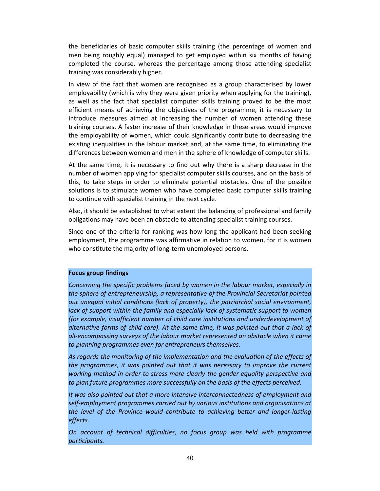the beneficiaries of basic computer skills training (the percentage of women and men being roughly equal) managed to get employed within six months of having completed the course, whereas the percentage among those attending specialist training was considerably higher.

In view of the fact that women are recognised as a group characterised by lower employability (which is why they were given priority when applying for the training), as well as the fact that specialist computer skills training proved to be the most efficient means of achieving the objectives of the programme, it is necessary to introduce measures aimed at increasing the number of women attending these training courses. A faster increase of their knowledge in these areas would improve the employability of women, which could significantly contribute to decreasing the existing inequalities in the labour market and, at the same time, to eliminating the differences between women and men in the sphere of knowledge of computer skills.

At the same time, it is necessary to find out why there is a sharp decrease in the number of women applying for specialist computer skills courses, and on the basis of this, to take steps in order to eliminate potential obstacles. One of the possible solutions is to stimulate women who have completed basic computer skills training to continue with specialist training in the next cycle.

Also, it should be established to what extent the balancing of professional and family obligations may have been an obstacle to attending specialist training courses.

Since one of the criteria for ranking was how long the applicant had been seeking employment, the programme was affirmative in relation to women, for it is women who constitute the majority of long-term unemployed persons.

## **Focus group findings**

*Concerning the specific problems faced by women in the labour market, especially in the sphere of entrepreneurship, a representative of the Provincial Secretariat pointed out unequal initial conditions (lack of property), the patriarchal social environment, lack of support within the family and especially lack of systematic support to women (for example, insufficient number of child care institutions and underdevelopment of alternative forms of child care). At the same time, it was pointed out that a lack of all-encompassing surveys of the labour market represented an obstacle when it came to planning programmes even for entrepreneurs themselves.* 

*As regards the monitoring of the implementation and the evaluation of the effects of the programmes, it was pointed out that it was necessary to improve the current working method in order to stress more clearly the gender equality perspective and to plan future programmes more successfully on the basis of the effects perceived.* 

*It was also pointed out that a more intensive interconnectedness of employment and self-employment programmes carried out by various institutions and organisations at the level of the Province would contribute to achieving better and longer-lasting effects.* 

*On account of technical difficulties, no focus group was held with programme participants.*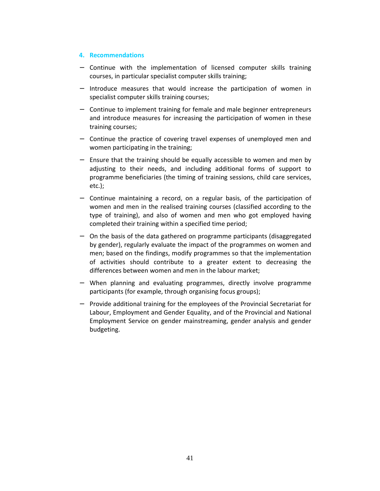## **4. Recommendations**

- − Continue with the implementation of licensed computer skills training courses, in particular specialist computer skills training;
- − Introduce measures that would increase the participation of women in specialist computer skills training courses;
- − Continue to implement training for female and male beginner entrepreneurs and introduce measures for increasing the participation of women in these training courses;
- − Continue the practice of covering travel expenses of unemployed men and women participating in the training;
- − Ensure that the training should be equally accessible to women and men by adjusting to their needs, and including additional forms of support to programme beneficiaries (the timing of training sessions, child care services, etc.);
- − Continue maintaining a record, on a regular basis, of the participation of women and men in the realised training courses (classified according to the type of training), and also of women and men who got employed having completed their training within a specified time period;
- − On the basis of the data gathered on programme participants (disaggregated by gender), regularly evaluate the impact of the programmes on women and men; based on the findings, modify programmes so that the implementation of activities should contribute to a greater extent to decreasing the differences between women and men in the labour market;
- − When planning and evaluating programmes, directly involve programme participants (for example, through organising focus groups);
- − Provide additional training for the employees of the Provincial Secretariat for Labour, Employment and Gender Equality, and of the Provincial and National Employment Service on gender mainstreaming, gender analysis and gender budgeting.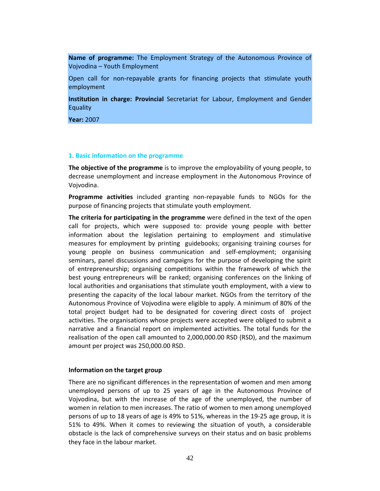**Name of programme:** The Employment Strategy of the Autonomous Province of Vojvodina – Youth Employment

Open call for non-repayable grants for financing projects that stimulate youth employment

**Institution in charge: Provincial** Secretariat for Labour, Employment and Gender Equality

**Year:** 2007

#### **1. Basic information on the programme**

**The objective of the programme** is to improve the employability of young people, to decrease unemployment and increase employment in the Autonomous Province of Vojvodina.

**Programme activities** included granting non-repayable funds to NGOs for the purpose of financing projects that stimulate youth employment.

**The criteria for participating in the programme** were defined in the text of the open call for projects, which were supposed to: provide young people with better information about the legislation pertaining to employment and stimulative measures for employment by printing guidebooks; organising training courses for young people on business communication and self-employment; organising seminars, panel discussions and campaigns for the purpose of developing the spirit of entrepreneurship; organising competitions within the framework of which the best young entrepreneurs will be ranked; organising conferences on the linking of local authorities and organisations that stimulate youth employment, with a view to presenting the capacity of the local labour market. NGOs from the territory of the Autonomous Province of Vojvodina were eligible to apply. A minimum of 80% of the total project budget had to be designated for covering direct costs of project activities. The organisations whose projects were accepted were obliged to submit a narrative and a financial report on implemented activities. The total funds for the realisation of the open call amounted to 2,000,000.00 RSD (RSD), and the maximum amount per project was 250,000.00 RSD.

### **Information on the target group**

There are no significant differences in the representation of women and men among unemployed persons of up to 25 years of age in the Autonomous Province of Vojvodina, but with the increase of the age of the unemployed, the number of women in relation to men increases. The ratio of women to men among unemployed persons of up to 18 years of age is 49% to 51%, whereas in the 19-25 age group, it is 51% to 49%. When it comes to reviewing the situation of youth, a considerable obstacle is the lack of comprehensive surveys on their status and on basic problems they face in the labour market.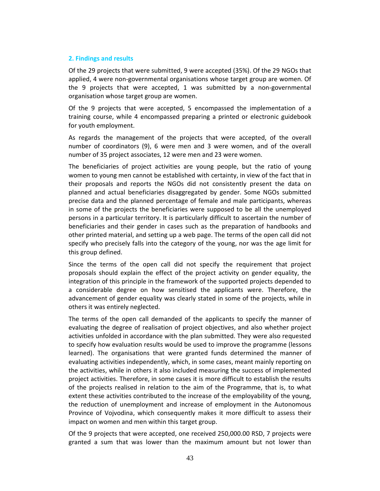### **2. Findings and results**

Of the 29 projects that were submitted, 9 were accepted (35%). Of the 29 NGOs that applied, 4 were non-governmental organisations whose target group are women. Of the 9 projects that were accepted, 1 was submitted by a non-governmental organisation whose target group are women.

Of the 9 projects that were accepted, 5 encompassed the implementation of a training course, while 4 encompassed preparing a printed or electronic guidebook for youth employment.

As regards the management of the projects that were accepted, of the overall number of coordinators (9), 6 were men and 3 were women, and of the overall number of 35 project associates, 12 were men and 23 were women.

The beneficiaries of project activities are young people, but the ratio of young women to young men cannot be established with certainty, in view of the fact that in their proposals and reports the NGOs did not consistently present the data on planned and actual beneficiaries disaggregated by gender. Some NGOs submitted precise data and the planned percentage of female and male participants, whereas in some of the projects the beneficiaries were supposed to be all the unemployed persons in a particular territory. It is particularly difficult to ascertain the number of beneficiaries and their gender in cases such as the preparation of handbooks and other printed material, and setting up a web page. The terms of the open call did not specify who precisely falls into the category of the young, nor was the age limit for this group defined.

Since the terms of the open call did not specify the requirement that project proposals should explain the effect of the project activity on gender equality, the integration of this principle in the framework of the supported projects depended to a considerable degree on how sensitised the applicants were. Therefore, the advancement of gender equality was clearly stated in some of the projects, while in others it was entirely neglected.

The terms of the open call demanded of the applicants to specify the manner of evaluating the degree of realisation of project objectives, and also whether project activities unfolded in accordance with the plan submitted. They were also requested to specify how evaluation results would be used to improve the programme (lessons learned). The organisations that were granted funds determined the manner of evaluating activities independently, which, in some cases, meant mainly reporting on the activities, while in others it also included measuring the success of implemented project activities. Therefore, in some cases it is more difficult to establish the results of the projects realised in relation to the aim of the Programme, that is, to what extent these activities contributed to the increase of the employability of the young, the reduction of unemployment and increase of employment in the Autonomous Province of Vojvodina, which consequently makes it more difficult to assess their impact on women and men within this target group.

Of the 9 projects that were accepted, one received 250,000.00 RSD, 7 projects were granted a sum that was lower than the maximum amount but not lower than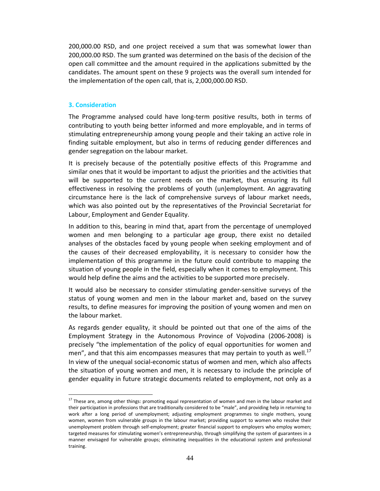200,000.00 RSD, and one project received a sum that was somewhat lower than 200,000.00 RSD. The sum granted was determined on the basis of the decision of the open call committee and the amount required in the applications submitted by the candidates. The amount spent on these 9 projects was the overall sum intended for the implementation of the open call, that is, 2,000,000.00 RSD.

### **3. Consideration**

-

The Programme analysed could have long-term positive results, both in terms of contributing to youth being better informed and more employable, and in terms of stimulating entrepreneurship among young people and their taking an active role in finding suitable employment, but also in terms of reducing gender differences and gender segregation on the labour market.

It is precisely because of the potentially positive effects of this Programme and similar ones that it would be important to adjust the priorities and the activities that will be supported to the current needs on the market, thus ensuring its full effectiveness in resolving the problems of youth (un)employment. An aggravating circumstance here is the lack of comprehensive surveys of labour market needs, which was also pointed out by the representatives of the Provincial Secretariat for Labour, Employment and Gender Equality.

In addition to this, bearing in mind that, apart from the percentage of unemployed women and men belonging to a particular age group, there exist no detailed analyses of the obstacles faced by young people when seeking employment and of the causes of their decreased employability, it is necessary to consider how the implementation of this programme in the future could contribute to mapping the situation of young people in the field, especially when it comes to employment. This would help define the aims and the activities to be supported more precisely.

It would also be necessary to consider stimulating gender-sensitive surveys of the status of young women and men in the labour market and, based on the survey results, to define measures for improving the position of young women and men on the labour market.

As regards gender equality, it should be pointed out that one of the aims of the Employment Strategy in the Autonomous Province of Vojvodina (2006-2008) is precisely "the implementation of the policy of equal opportunities for women and men", and that this aim encompasses measures that may pertain to youth as well.<sup>17</sup> In view of the unequal social-economic status of women and men, which also affects the situation of young women and men, it is necessary to include the principle of gender equality in future strategic documents related to employment, not only as a

<sup>&</sup>lt;sup>17</sup> These are, among other things: promoting equal representation of women and men in the labour market and their participation in professions that are traditionally considered to be "male", and providing help in returning to work after a long period of unemployment; adjusting employment programmes to single mothers, young women, women from vulnerable groups in the labour market; providing support to women who resolve their unemployment problem through self-employment; greater financial support to employers who employ women; targeted measures for stimulating women's entrepreneurship, through simplifying the system of guarantees in a manner envisaged for vulnerable groups; eliminating inequalities in the educational system and professional training.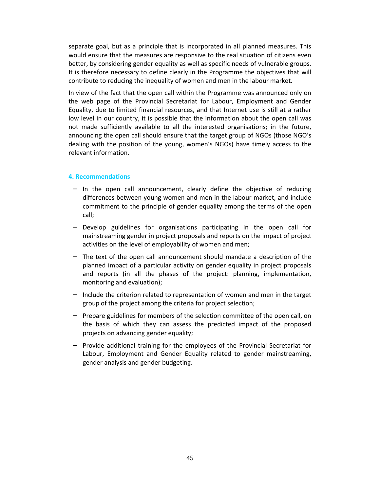separate goal, but as a principle that is incorporated in all planned measures. This would ensure that the measures are responsive to the real situation of citizens even better, by considering gender equality as well as specific needs of vulnerable groups. It is therefore necessary to define clearly in the Programme the objectives that will contribute to reducing the inequality of women and men in the labour market.

In view of the fact that the open call within the Programme was announced only on the web page of the Provincial Secretariat for Labour, Employment and Gender Equality, due to limited financial resources, and that Internet use is still at a rather low level in our country, it is possible that the information about the open call was not made sufficiently available to all the interested organisations; in the future, announcing the open call should ensure that the target group of NGOs (those NGO's dealing with the position of the young, women's NGOs) have timely access to the relevant information.

### **4. Recommendations**

- − In the open call announcement, clearly define the objective of reducing differences between young women and men in the labour market, and include commitment to the principle of gender equality among the terms of the open call;
- − Develop guidelines for organisations participating in the open call for mainstreaming gender in project proposals and reports on the impact of project activities on the level of employability of women and men;
- − The text of the open call announcement should mandate a description of the planned impact of a particular activity on gender equality in project proposals and reports (in all the phases of the project: planning, implementation, monitoring and evaluation);
- − Include the criterion related to representation of women and men in the target group of the project among the criteria for project selection;
- − Prepare guidelines for members of the selection committee of the open call, on the basis of which they can assess the predicted impact of the proposed projects on advancing gender equality;
- − Provide additional training for the employees of the Provincial Secretariat for Labour, Employment and Gender Equality related to gender mainstreaming, gender analysis and gender budgeting.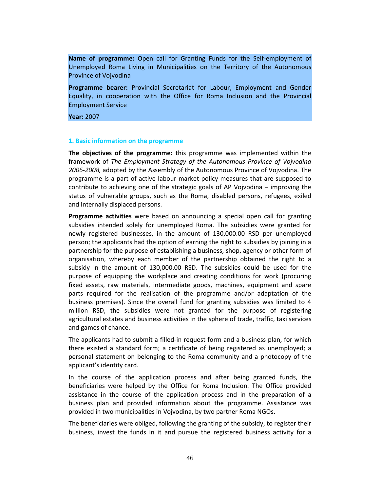**Name of programme:** Open call for Granting Funds for the Self-employment of Unemployed Roma Living in Municipalities on the Territory of the Autonomous Province of Vojvodina

**Programme bearer:** Provincial Secretariat for Labour, Employment and Gender Equality, in cooperation with the Office for Roma Inclusion and the Provincial Employment Service

**Year:** 2007

### **1. Basic information on the programme**

**The objectives of the programme:** this programme was implemented within the framework of *The Employment Strategy of the Autonomous Province of Vojvodina 2006-2008,* adopted by the Assembly of the Autonomous Province of Vojvodina. The programme is a part of active labour market policy measures that are supposed to contribute to achieving one of the strategic goals of AP Vojvodina – improving the status of vulnerable groups, such as the Roma, disabled persons, refugees, exiled and internally displaced persons.

**Programme activities** were based on announcing a special open call for granting subsidies intended solely for unemployed Roma. The subsidies were granted for newly registered businesses, in the amount of 130,000.00 RSD per unemployed person; the applicants had the option of earning the right to subsidies by joining in a partnership for the purpose of establishing a business, shop, agency or other form of organisation, whereby each member of the partnership obtained the right to a subsidy in the amount of 130,000.00 RSD. The subsidies could be used for the purpose of equipping the workplace and creating conditions for work (procuring fixed assets, raw materials, intermediate goods, machines, equipment and spare parts required for the realisation of the programme and/or adaptation of the business premises). Since the overall fund for granting subsidies was limited to 4 million RSD, the subsidies were not granted for the purpose of registering agricultural estates and business activities in the sphere of trade, traffic, taxi services and games of chance.

The applicants had to submit a filled-in request form and a business plan, for which there existed a standard form; a certificate of being registered as unemployed; a personal statement on belonging to the Roma community and a photocopy of the applicant's identity card.

In the course of the application process and after being granted funds, the beneficiaries were helped by the Office for Roma Inclusion. The Office provided assistance in the course of the application process and in the preparation of a business plan and provided information about the programme. Assistance was provided in two municipalities in Vojvodina, by two partner Roma NGOs.

The beneficiaries were obliged, following the granting of the subsidy, to register their business, invest the funds in it and pursue the registered business activity for a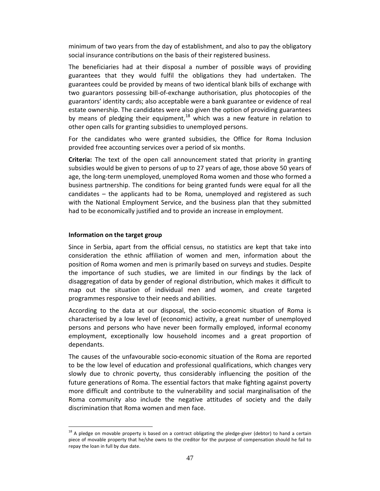minimum of two years from the day of establishment, and also to pay the obligatory social insurance contributions on the basis of their registered business.

The beneficiaries had at their disposal a number of possible ways of providing guarantees that they would fulfil the obligations they had undertaken. The guarantees could be provided by means of two identical blank bills of exchange with two guarantors possessing bill-of-exchange authorisation, plus photocopies of the guarantors' identity cards; also acceptable were a bank guarantee or evidence of real estate ownership. The candidates were also given the option of providing guarantees by means of pledging their equipment,<sup>18</sup> which was a new feature in relation to other open calls for granting subsidies to unemployed persons.

For the candidates who were granted subsidies, the Office for Roma Inclusion provided free accounting services over a period of six months.

**Criteria:** The text of the open call announcement stated that priority in granting subsidies would be given to persons of up to 27 years of age, those above 50 years of age, the long-term unemployed, unemployed Roma women and those who formed a business partnership. The conditions for being granted funds were equal for all the candidates – the applicants had to be Roma, unemployed and registered as such with the National Employment Service, and the business plan that they submitted had to be economically justified and to provide an increase in employment.

## **Information on the target group**

-

Since in Serbia, apart from the official census, no statistics are kept that take into consideration the ethnic affiliation of women and men, information about the position of Roma women and men is primarily based on surveys and studies. Despite the importance of such studies, we are limited in our findings by the lack of disaggregation of data by gender of regional distribution, which makes it difficult to map out the situation of individual men and women, and create targeted programmes responsive to their needs and abilities.

According to the data at our disposal, the socio-economic situation of Roma is characterised by a low level of (economic) activity, a great number of unemployed persons and persons who have never been formally employed, informal economy employment, exceptionally low household incomes and a great proportion of dependants.

The causes of the unfavourable socio-economic situation of the Roma are reported to be the low level of education and professional qualifications, which changes very slowly due to chronic poverty, thus considerably influencing the position of the future generations of Roma. The essential factors that make fighting against poverty more difficult and contribute to the vulnerability and social marginalisation of the Roma community also include the negative attitudes of society and the daily discrimination that Roma women and men face.

 $18$  A pledge on movable property is based on a contract obligating the pledge-giver (debtor) to hand a certain piece of movable property that he/she owns to the creditor for the purpose of compensation should he fail to repay the loan in full by due date.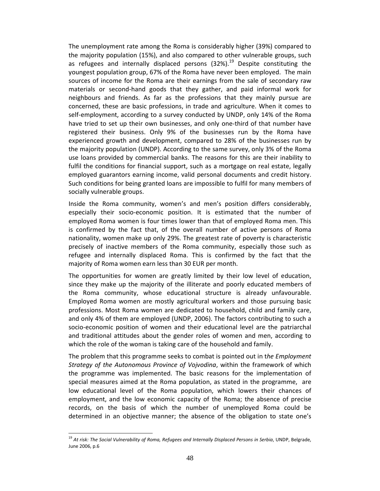The unemployment rate among the Roma is considerably higher (39%) compared to the majority population (15%), and also compared to other vulnerable groups, such as refugees and internally displaced persons  $(32%)$ .<sup>19</sup> Despite constituting the youngest population group, 67% of the Roma have never been employed. The main sources of income for the Roma are their earnings from the sale of secondary raw materials or second-hand goods that they gather, and paid informal work for neighbours and friends. As far as the professions that they mainly pursue are concerned, these are basic professions, in trade and agriculture. When it comes to self-employment, according to a survey conducted by UNDP, only 14% of the Roma have tried to set up their own businesses, and only one-third of that number have registered their business. Only 9% of the businesses run by the Roma have experienced growth and development, compared to 28% of the businesses run by the majority population (UNDP). According to the same survey, only 3% of the Roma use loans provided by commercial banks. The reasons for this are their inability to fulfil the conditions for financial support, such as a mortgage on real estate, legally employed guarantors earning income, valid personal documents and credit history. Such conditions for being granted loans are impossible to fulfil for many members of socially vulnerable groups.

Inside the Roma community, women's and men's position differs considerably, especially their socio-economic position. It is estimated that the number of employed Roma women is four times lower than that of employed Roma men. This is confirmed by the fact that, of the overall number of active persons of Roma nationality, women make up only 29%. The greatest rate of poverty is characteristic precisely of inactive members of the Roma community, especially those such as refugee and internally displaced Roma. This is confirmed by the fact that the majority of Roma women earn less than 30 EUR per month.

The opportunities for women are greatly limited by their low level of education, since they make up the majority of the illiterate and poorly educated members of the Roma community, whose educational structure is already unfavourable. Employed Roma women are mostly agricultural workers and those pursuing basic professions. Most Roma women are dedicated to household, child and family care, and only 4% of them are employed (UNDP, 2006). The factors contributing to such a socio-economic position of women and their educational level are the patriarchal and traditional attitudes about the gender roles of women and men, according to which the role of the woman is taking care of the household and family.

The problem that this programme seeks to combat is pointed out in t*he Employment Strategy of the Autonomous Province of Vojvodina*, within the framework of which the programme was implemented. The basic reasons for the implementation of special measures aimed at the Roma population, as stated in the programme, are low educational level of the Roma population, which lowers their chances of employment, and the low economic capacity of the Roma; the absence of precise records, on the basis of which the number of unemployed Roma could be determined in an objective manner; the absence of the obligation to state one's

-

<sup>&</sup>lt;sup>19</sup> At risk: The Social Vulnerability of Roma, Refugees and Internally Displaced Persons in Serbia, UNDP, Belgrade, June 2006, p.6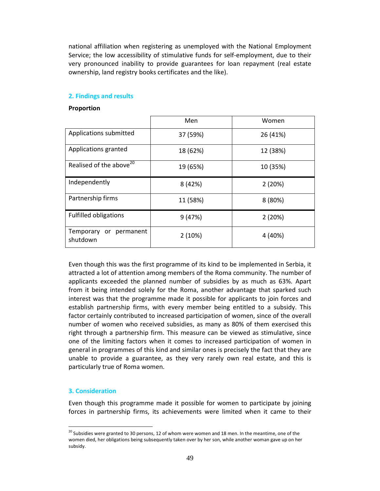national affiliation when registering as unemployed with the National Employment Service; the low accessibility of stimulative funds for self-employment, due to their very pronounced inability to provide guarantees for loan repayment (real estate ownership, land registry books certificates and the like).

## **2. Findings and results**

### **Proportion**

|                                     | Men      | Women    |
|-------------------------------------|----------|----------|
| Applications submitted              | 37 (59%) | 26 (41%) |
| Applications granted                | 18 (62%) | 12 (38%) |
| Realised of the above <sup>20</sup> | 19 (65%) | 10 (35%) |
| Independently                       | 8 (42%)  | 2(20%)   |
| Partnership firms                   | 11 (58%) | 8(80%)   |
| <b>Fulfilled obligations</b>        | 9(47%)   | 2(20%)   |
| Temporary or permanent<br>shutdown  | 2(10%)   | 4 (40%)  |

Even though this was the first programme of its kind to be implemented in Serbia, it attracted a lot of attention among members of the Roma community. The number of applicants exceeded the planned number of subsidies by as much as 63%. Apart from it being intended solely for the Roma, another advantage that sparked such interest was that the programme made it possible for applicants to join forces and establish partnership firms, with every member being entitled to a subsidy. This factor certainly contributed to increased participation of women, since of the overall number of women who received subsidies, as many as 80% of them exercised this right through a partnership firm. This measure can be viewed as stimulative, since one of the limiting factors when it comes to increased participation of women in general in programmes of this kind and similar ones is precisely the fact that they are unable to provide a guarantee, as they very rarely own real estate, and this is particularly true of Roma women.

### **3. Consideration**

-

Even though this programme made it possible for women to participate by joining forces in partnership firms, its achievements were limited when it came to their

 $20$  Subsidies were granted to 30 persons, 12 of whom were women and 18 men. In the meantime, one of the women died, her obligations being subsequently taken over by her son, while another woman gave up on her subsidy.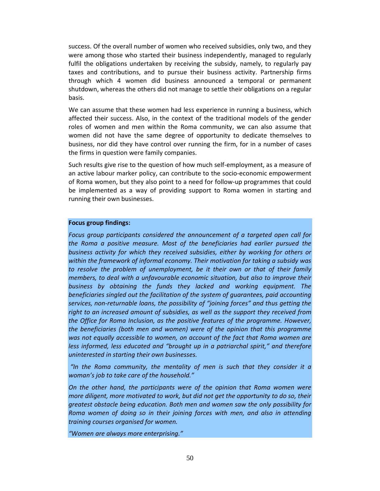success. Of the overall number of women who received subsidies, only two, and they were among those who started their business independently, managed to regularly fulfil the obligations undertaken by receiving the subsidy, namely, to regularly pay taxes and contributions, and to pursue their business activity. Partnership firms through which 4 women did business announced a temporal or permanent shutdown, whereas the others did not manage to settle their obligations on a regular basis.

We can assume that these women had less experience in running a business, which affected their success. Also, in the context of the traditional models of the gender roles of women and men within the Roma community, we can also assume that women did not have the same degree of opportunity to dedicate themselves to business, nor did they have control over running the firm, for in a number of cases the firms in question were family companies.

Such results give rise to the question of how much self-employment, as a measure of an active labour marker policy, can contribute to the socio-economic empowerment of Roma women, but they also point to a need for follow-up programmes that could be implemented as a way of providing support to Roma women in starting and running their own businesses.

### **Focus group findings:**

*Focus group participants considered the announcement of a targeted open call for the Roma a positive measure. Most of the beneficiaries had earlier pursued the business activity for which they received subsidies, either by working for others or within the framework of informal economy. Their motivation for taking a subsidy was to resolve the problem of unemployment, be it their own or that of their family members, to deal with a unfavourable economic situation, but also to improve their business by obtaining the funds they lacked and working equipment. The beneficiaries singled out the facilitation of the system of guarantees, paid accounting services, non-returnable loans, the possibility of "joining forces" and thus getting the right to an increased amount of subsidies, as well as the support they received from the Office for Roma Inclusion, as the positive features of the programme. However, the beneficiaries (both men and women) were of the opinion that this programme was not equally accessible to women, on account of the fact that Roma women are less informed, less educated and "brought up in a patriarchal spirit," and therefore uninterested in starting their own businesses.* 

 *"In the Roma community, the mentality of men is such that they consider it a woman's job to take care of the household."* 

*On the other hand, the participants were of the opinion that Roma women were more diligent, more motivated to work, but did not get the opportunity to do so, their greatest obstacle being education. Both men and women saw the only possibility for Roma women of doing so in their joining forces with men, and also in attending training courses organised for women.* 

*"Women are always more enterprising."*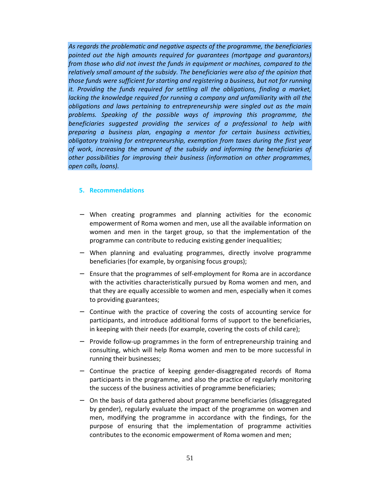*As regards the problematic and negative aspects of the programme, the beneficiaries pointed out the high amounts required for guarantees (mortgage and guarantors) from those who did not invest the funds in equipment or machines, compared to the relatively small amount of the subsidy. The beneficiaries were also of the opinion that those funds were sufficient for starting and registering a business, but not for running it. Providing the funds required for settling all the obligations, finding a market, lacking the knowledge required for running a company and unfamiliarity with all the obligations and laws pertaining to entrepreneurship were singled out as the main problems. Speaking of the possible ways of improving this programme, the beneficiaries suggested providing the services of a professional to help with preparing a business plan, engaging a mentor for certain business activities, obligatory training for entrepreneurship, exemption from taxes during the first year of work, increasing the amount of the subsidy and informing the beneficiaries of other possibilities for improving their business (information on other programmes, open calls, loans).* 

## **5. Recommendations**

- − When creating programmes and planning activities for the economic empowerment of Roma women and men, use all the available information on women and men in the target group, so that the implementation of the programme can contribute to reducing existing gender inequalities;
- − When planning and evaluating programmes, directly involve programme beneficiaries (for example, by organising focus groups);
- − Ensure that the programmes of self-employment for Roma are in accordance with the activities characteristically pursued by Roma women and men, and that they are equally accessible to women and men, especially when it comes to providing guarantees;
- − Continue with the practice of covering the costs of accounting service for participants, and introduce additional forms of support to the beneficiaries, in keeping with their needs (for example, covering the costs of child care);
- − Provide follow-up programmes in the form of entrepreneurship training and consulting, which will help Roma women and men to be more successful in running their businesses;
- − Continue the practice of keeping gender-disaggregated records of Roma participants in the programme, and also the practice of regularly monitoring the success of the business activities of programme beneficiaries;
- − On the basis of data gathered about programme beneficiaries (disaggregated by gender), regularly evaluate the impact of the programme on women and men, modifying the programme in accordance with the findings, for the purpose of ensuring that the implementation of programme activities contributes to the economic empowerment of Roma women and men;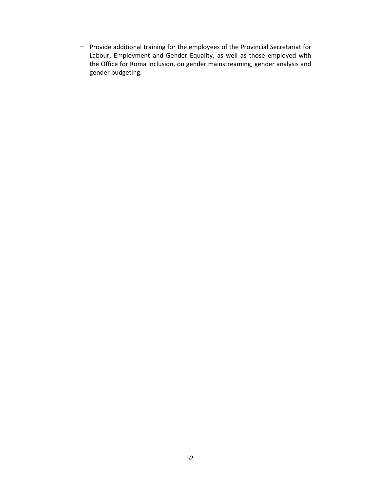− Provide additional training for the employees of the Provincial Secretariat for Labour, Employment and Gender Equality, as well as those employed with the Office for Roma Inclusion, on gender mainstreaming, gender analysis and gender budgeting.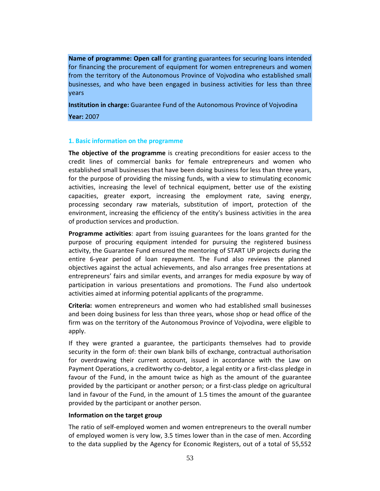**Name of programme: Open call** for granting guarantees for securing loans intended for financing the procurement of equipment for women entrepreneurs and women from the territory of the Autonomous Province of Vojvodina who established small businesses, and who have been engaged in business activities for less than three years

**Institution in charge:** Guarantee Fund of the Autonomous Province of Vojvodina

**Year:** 2007

## **1. Basic information on the programme**

**The objective of the programme** is creating preconditions for easier access to the credit lines of commercial banks for female entrepreneurs and women who established small businesses that have been doing business for less than three years, for the purpose of providing the missing funds, with a view to stimulating economic activities, increasing the level of technical equipment, better use of the existing capacities, greater export, increasing the employment rate, saving energy, processing secondary raw materials, substitution of import, protection of the environment, increasing the efficiency of the entity's business activities in the area of production services and production.

**Programme activities**: apart from issuing guarantees for the loans granted for the purpose of procuring equipment intended for pursuing the registered business activity, the Guarantee Fund ensured the mentoring of START UP projects during the entire 6-year period of loan repayment. The Fund also reviews the planned objectives against the actual achievements, and also arranges free presentations at entrepreneurs' fairs and similar events, and arranges for media exposure by way of participation in various presentations and promotions. The Fund also undertook activities aimed at informing potential applicants of the programme.

**Criteria:** women entrepreneurs and women who had established small businesses and been doing business for less than three years, whose shop or head office of the firm was on the territory of the Autonomous Province of Vojvodina, were eligible to apply.

If they were granted a guarantee, the participants themselves had to provide security in the form of: their own blank bills of exchange, contractual authorisation for overdrawing their current account, issued in accordance with the Law on Payment Operations, a creditworthy co-debtor, a legal entity or a first-class pledge in favour of the Fund, in the amount twice as high as the amount of the guarantee provided by the participant or another person; or a first-class pledge on agricultural land in favour of the Fund, in the amount of 1.5 times the amount of the guarantee provided by the participant or another person.

# **Information on the target group**

The ratio of self-employed women and women entrepreneurs to the overall number of employed women is very low, 3.5 times lower than in the case of men. According to the data supplied by the Agency for Economic Registers, out of a total of 55,552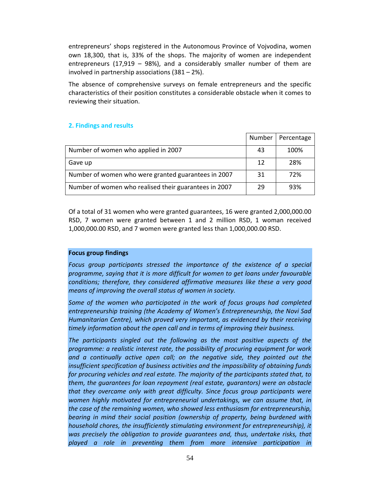entrepreneurs' shops registered in the Autonomous Province of Vojvodina, women own 18,300, that is, 33% of the shops. The majority of women are independent entrepreneurs (17,919 – 98%), and a considerably smaller number of them are involved in partnership associations (381 – 2%).

The absence of comprehensive surveys on female entrepreneurs and the specific characteristics of their position constitutes a considerable obstacle when it comes to reviewing their situation.

# **2. Findings and results**

|                                                       | Number | Percentage |
|-------------------------------------------------------|--------|------------|
| Number of women who applied in 2007                   | 43     | 100%       |
| Gave up                                               | 12     | 28%        |
| Number of women who were granted guarantees in 2007   | 31     | 72%        |
| Number of women who realised their guarantees in 2007 | 29     | 93%        |

Of a total of 31 women who were granted guarantees, 16 were granted 2,000,000.00 RSD, 7 women were granted between 1 and 2 million RSD, 1 woman received 1,000,000.00 RSD, and 7 women were granted less than 1,000,000.00 RSD.

# **Focus group findings**

*Focus group participants stressed the importance of the existence of a special programme, saying that it is more difficult for women to get loans under favourable conditions; therefore, they considered affirmative measures like these a very good means of improving the overall status of women in society.* 

*Some of the women who participated in the work of focus groups had completed entrepreneurship training (the Academy of Women's Entrepreneurship, the Novi Sad Humanitarian Centre), which proved very important, as evidenced by their receiving timely information about the open call and in terms of improving their business.* 

*The participants singled out the following as the most positive aspects of the programme: a realistic interest rate, the possibility of procuring equipment for work*  and a continually active open call; on the negative side, they pointed out the *insufficient specification of business activities and the impossibility of obtaining funds for procuring vehicles and real estate. The majority of the participants stated that, to them, the guarantees for loan repayment (real estate, guarantors) were an obstacle that they overcame only with great difficulty. Since focus group participants were women highly motivated for entrepreneurial undertakings, we can assume that, in the case of the remaining women, who showed less enthusiasm for entrepreneurship, bearing in mind their social position (ownership of property, being burdened with household chores, the insufficiently stimulating environment for entrepreneurship), it was precisely the obligation to provide guarantees and, thus, undertake risks, that played a role in preventing them from more intensive participation in*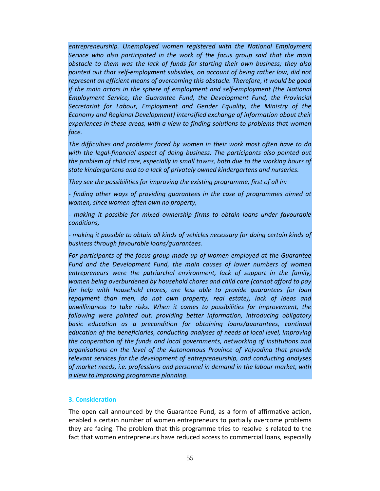*entrepreneurship. Unemployed women registered with the National Employment Service who also participated in the work of the focus group said that the main obstacle to them was the lack of funds for starting their own business; they also pointed out that self-employment subsidies, on account of being rather low, did not represent an efficient means of overcoming this obstacle. Therefore, it would be good if the main actors in the sphere of employment and self-employment (the National Employment Service, the Guarantee Fund, the Development Fund, the Provincial Secretariat for Labour, Employment and Gender Equality, the Ministry of the Economy and Regional Development) intensified exchange of information about their experiences in these areas, with a view to finding solutions to problems that women face.* 

*The difficulties and problems faced by women in their work most often have to do*  with the legal-financial aspect of doing business. The participants also pointed out *the problem of child care, especially in small towns, both due to the working hours of state kindergartens and to a lack of privately owned kindergartens and nurseries.* 

*They see the possibilities for improving the existing programme, first of all in:* 

*- finding other ways of providing guarantees in the case of programmes aimed at women, since women often own no property,* 

*- making it possible for mixed ownership firms to obtain loans under favourable conditions,* 

*- making it possible to obtain all kinds of vehicles necessary for doing certain kinds of business through favourable loans/guarantees.* 

*For participants of the focus group made up of women employed at the Guarantee*  Fund and the Development Fund, the main causes of lower numbers of women *entrepreneurs were the patriarchal environment, lack of support in the family, women being overburdened by household chores and child care (cannot afford to pay for help with household chores, are less able to provide guarantees for loan repayment than men, do not own property, real estate), lack of ideas and unwillingness to take risks. When it comes to possibilities for improvement, the following were pointed out: providing better information, introducing obligatory*  basic education as a precondition for obtaining loans/guarantees, continual *education of the beneficiaries, conducting analyses of needs at local level, improving the cooperation of the funds and local governments, networking of institutions and organisations on the level of the Autonomous Province of Vojvodina that provide relevant services for the development of entrepreneurship, and conducting analyses of market needs, i.e. professions and personnel in demand in the labour market, with a view to improving programme planning.* 

### **3. Consideration**

The open call announced by the Guarantee Fund, as a form of affirmative action, enabled a certain number of women entrepreneurs to partially overcome problems they are facing. The problem that this programme tries to resolve is related to the fact that women entrepreneurs have reduced access to commercial loans, especially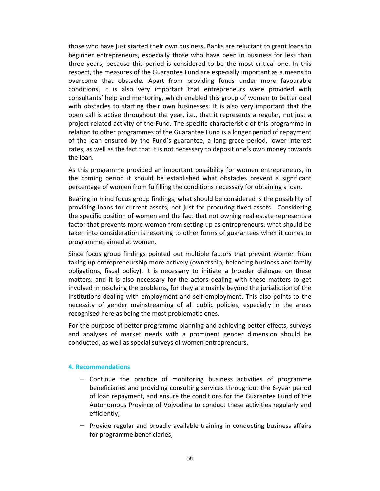those who have just started their own business. Banks are reluctant to grant loans to beginner entrepreneurs, especially those who have been in business for less than three years, because this period is considered to be the most critical one. In this respect, the measures of the Guarantee Fund are especially important as a means to overcome that obstacle. Apart from providing funds under more favourable conditions, it is also very important that entrepreneurs were provided with consultants' help and mentoring, which enabled this group of women to better deal with obstacles to starting their own businesses. It is also very important that the open call is active throughout the year, i.e., that it represents a regular, not just a project-related activity of the Fund. The specific characteristic of this programme in relation to other programmes of the Guarantee Fund is a longer period of repayment of the loan ensured by the Fund's guarantee, a long grace period, lower interest rates, as well as the fact that it is not necessary to deposit one's own money towards the loan.

As this programme provided an important possibility for women entrepreneurs, in the coming period it should be established what obstacles prevent a significant percentage of women from fulfilling the conditions necessary for obtaining a loan.

Bearing in mind focus group findings, what should be considered is the possibility of providing loans for current assets, not just for procuring fixed assets. Considering the specific position of women and the fact that not owning real estate represents a factor that prevents more women from setting up as entrepreneurs, what should be taken into consideration is resorting to other forms of guarantees when it comes to programmes aimed at women.

Since focus group findings pointed out multiple factors that prevent women from taking up entrepreneurship more actively (ownership, balancing business and family obligations, fiscal policy), it is necessary to initiate a broader dialogue on these matters, and it is also necessary for the actors dealing with these matters to get involved in resolving the problems, for they are mainly beyond the jurisdiction of the institutions dealing with employment and self-employment. This also points to the necessity of gender mainstreaming of all public policies, especially in the areas recognised here as being the most problematic ones.

For the purpose of better programme planning and achieving better effects, surveys and analyses of market needs with a prominent gender dimension should be conducted, as well as special surveys of women entrepreneurs.

### **4. Recommendations**

- − Continue the practice of monitoring business activities of programme beneficiaries and providing consulting services throughout the 6-year period of loan repayment, and ensure the conditions for the Guarantee Fund of the Autonomous Province of Vojvodina to conduct these activities regularly and efficiently;
- − Provide regular and broadly available training in conducting business affairs for programme beneficiaries;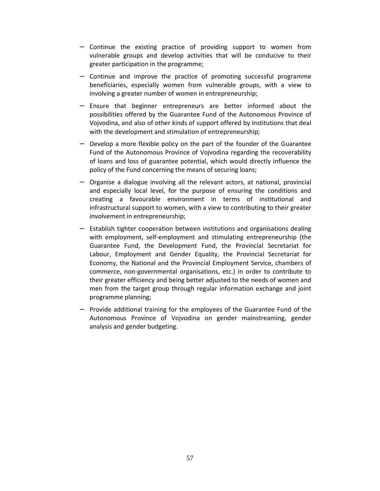- − Continue the existing practice of providing support to women from vulnerable groups and develop activities that will be conducive to their greater participation in the programme;
- − Continue and improve the practice of promoting successful programme beneficiaries, especially women from vulnerable groups, with a view to involving a greater number of women in entrepreneurship;
- − Ensure that beginner entrepreneurs are better informed about the possibilities offered by the Guarantee Fund of the Autonomous Province of Vojvodina, and also of other kinds of support offered by institutions that deal with the development and stimulation of entrepreneurship;
- − Develop a more flexible policy on the part of the founder of the Guarantee Fund of the Autonomous Province of Vojvodina regarding the recoverability of loans and loss of guarantee potential, which would directly influence the policy of the Fund concerning the means of securing loans;
- − Organise a dialogue involving all the relevant actors, at national, provincial and especially local level, for the purpose of ensuring the conditions and creating a favourable environment in terms of institutional and infrastructural support to women, with a view to contributing to their greater involvement in entrepreneurship;
- − Establish tighter cooperation between institutions and organisations dealing with employment, self-employment and stimulating entrepreneurship (the Guarantee Fund, the Development Fund, the Provincial Secretariat for Labour, Employment and Gender Equality, the Provincial Secretariat for Economy, the National and the Provincial Employment Service, chambers of commerce, non-governmental organisations, etc.) in order to contribute to their greater efficiency and being better adjusted to the needs of women and men from the target group through regular information exchange and joint programme planning;
- − Provide additional training for the employees of the Guarantee Fund of the Autonomous Province of Vojvodina on gender mainstreaming, gender analysis and gender budgeting.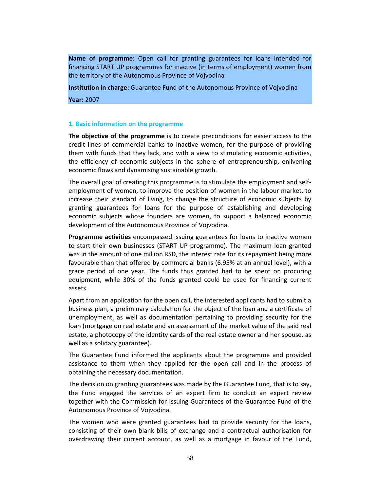**Name of programme:** Open call for granting guarantees for loans intended for financing START UP programmes for inactive (in terms of employment) women from the territory of the Autonomous Province of Vojvodina

**Institution in charge:** Guarantee Fund of the Autonomous Province of Vojvodina

**Year:** 2007

### **1. Basic information on the programme**

**The objective of the programme** is to create preconditions for easier access to the credit lines of commercial banks to inactive women, for the purpose of providing them with funds that they lack, and with a view to stimulating economic activities, the efficiency of economic subjects in the sphere of entrepreneurship, enlivening economic flows and dynamising sustainable growth.

The overall goal of creating this programme is to stimulate the employment and selfemployment of women, to improve the position of women in the labour market, to increase their standard of living, to change the structure of economic subjects by granting guarantees for loans for the purpose of establishing and developing economic subjects whose founders are women, to support a balanced economic development of the Autonomous Province of Vojvodina.

**Programme activities** encompassed issuing guarantees for loans to inactive women to start their own businesses (START UP programme). The maximum loan granted was in the amount of one million RSD, the interest rate for its repayment being more favourable than that offered by commercial banks (6.95% at an annual level), with a grace period of one year. The funds thus granted had to be spent on procuring equipment, while 30% of the funds granted could be used for financing current assets.

Apart from an application for the open call, the interested applicants had to submit a business plan, a preliminary calculation for the object of the loan and a certificate of unemployment, as well as documentation pertaining to providing security for the loan (mortgage on real estate and an assessment of the market value of the said real estate, a photocopy of the identity cards of the real estate owner and her spouse, as well as a solidary guarantee).

The Guarantee Fund informed the applicants about the programme and provided assistance to them when they applied for the open call and in the process of obtaining the necessary documentation.

The decision on granting guarantees was made by the Guarantee Fund, that is to say, the Fund engaged the services of an expert firm to conduct an expert review together with the Commission for Issuing Guarantees of the Guarantee Fund of the Autonomous Province of Vojvodina.

The women who were granted guarantees had to provide security for the loans, consisting of their own blank bills of exchange and a contractual authorisation for overdrawing their current account, as well as a mortgage in favour of the Fund,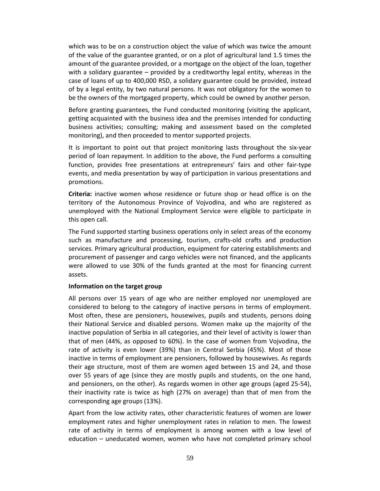which was to be on a construction object the value of which was twice the amount of the value of the guarantee granted, or on a plot of agricultural land 1.5 times the amount of the guarantee provided, or a mortgage on the object of the loan, together with a solidary guarantee – provided by a creditworthy legal entity, whereas in the case of loans of up to 400,000 RSD, a solidary guarantee could be provided, instead of by a legal entity, by two natural persons. It was not obligatory for the women to be the owners of the mortgaged property, which could be owned by another person.

Before granting guarantees, the Fund conducted monitoring (visiting the applicant, getting acquainted with the business idea and the premises intended for conducting business activities; consulting; making and assessment based on the completed monitoring), and then proceeded to mentor supported projects.

It is important to point out that project monitoring lasts throughout the six-year period of loan repayment. In addition to the above, the Fund performs a consulting function, provides free presentations at entrepreneurs' fairs and other fair-type events, and media presentation by way of participation in various presentations and promotions.

**Criteria:** inactive women whose residence or future shop or head office is on the territory of the Autonomous Province of Vojvodina, and who are registered as unemployed with the National Employment Service were eligible to participate in this open call.

The Fund supported starting business operations only in select areas of the economy such as manufacture and processing, tourism, crafts-old crafts and production services. Primary agricultural production, equipment for catering establishments and procurement of passenger and cargo vehicles were not financed, and the applicants were allowed to use 30% of the funds granted at the most for financing current assets.

### **Information on the target group**

All persons over 15 years of age who are neither employed nor unemployed are considered to belong to the category of inactive persons in terms of employment. Most often, these are pensioners, housewives, pupils and students, persons doing their National Service and disabled persons. Women make up the majority of the inactive population of Serbia in all categories, and their level of activity is lower than that of men (44%, as opposed to 60%). In the case of women from Vojvodina, the rate of activity is even lower (39%) than in Central Serbia (45%). Most of those inactive in terms of employment are pensioners, followed by housewives. As regards their age structure, most of them are women aged between 15 and 24, and those over 55 years of age (since they are mostly pupils and students, on the one hand, and pensioners, on the other). As regards women in other age groups (aged 25-54), their inactivity rate is twice as high (27% on average) than that of men from the corresponding age groups (13%).

Apart from the low activity rates, other characteristic features of women are lower employment rates and higher unemployment rates in relation to men. The lowest rate of activity in terms of employment is among women with a low level of education – uneducated women, women who have not completed primary school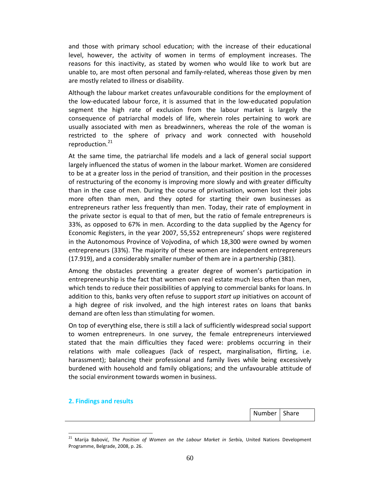and those with primary school education; with the increase of their educational level, however, the activity of women in terms of employment increases. The reasons for this inactivity, as stated by women who would like to work but are unable to, are most often personal and family-related, whereas those given by men are mostly related to illness or disability.

Although the labour market creates unfavourable conditions for the employment of the low-educated labour force, it is assumed that in the low-educated population segment the high rate of exclusion from the labour market is largely the consequence of patriarchal models of life, wherein roles pertaining to work are usually associated with men as breadwinners, whereas the role of the woman is restricted to the sphere of privacy and work connected with household reproduction.<sup>21</sup>

At the same time, the patriarchal life models and a lack of general social support largely influenced the status of women in the labour market. Women are considered to be at a greater loss in the period of transition, and their position in the processes of restructuring of the economy is improving more slowly and with greater difficulty than in the case of men. During the course of privatisation, women lost their jobs more often than men, and they opted for starting their own businesses as entrepreneurs rather less frequently than men. Today, their rate of employment in the private sector is equal to that of men, but the ratio of female entrepreneurs is 33%, as opposed to 67% in men. According to the data supplied by the Agency for Economic Registers, in the year 2007, 55,552 entrepreneurs' shops were registered in the Autonomous Province of Vojvodina, of which 18,300 were owned by women entrepreneurs (33%). The majority of these women are independent entrepreneurs (17.919), and a considerably smaller number of them are in a partnership (381).

Among the obstacles preventing a greater degree of women's participation in entrepreneurship is the fact that women own real estate much less often than men, which tends to reduce their possibilities of applying to commercial banks for loans. In addition to this, banks very often refuse to support *start up* initiatives on account of a high degree of risk involved, and the high interest rates on loans that banks demand are often less than stimulating for women.

On top of everything else, there is still a lack of sufficiently widespread social support to women entrepreneurs. In one survey, the female entrepreneurs interviewed stated that the main difficulties they faced were: problems occurring in their relations with male colleagues (lack of respect, marginalisation, flirting, i.e. harassment); balancing their professional and family lives while being excessively burdened with household and family obligations; and the unfavourable attitude of the social environment towards women in business.

### **2. Findings and results**

-

Number | Share

<sup>21</sup> Marija Babović, *The Position of Women on the Labour Market in Serbi*a, United Nations Development Programme, Belgrade, 2008, p. 26.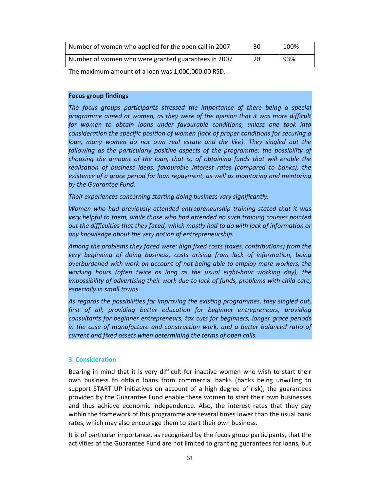| Number of women who applied for the open call in 2007 | 30 | 100% |
|-------------------------------------------------------|----|------|
| Number of women who were granted guarantees in 2007   | 28 | -93% |

The maximum amount of a loan was 1,000,000.00 RSD.

# **Focus group findings**

*The focus groups participants stressed the importance of there being a special programme aimed at women, as they were of the opinion that it was more difficult for women to obtain loans under favourable conditions, unless one took into consideration the specific position of women (lack of proper conditions for securing a loan, many women do not own real estate and the like). They singled out the following as the particularly positive aspects of the programme: the possibility of choosing the amount of the loan, that is, of obtaining funds that will enable the realisation of business ideas, favourable interest rates (compared to banks), the existence of a grace period for loan repayment, as well as monitoring and mentoring by the Guarantee Fund.* 

*Their experiences concerning starting doing business vary significantly.* 

*Women who had previously attended entrepreneurship training stated that it was very helpful to them, while those who had attended no such training courses pointed out the difficulties that they faced, which mostly had to do with lack of information or any knowledge about the very notion of entrepreneurship.* 

*Among the problems they faced were: high fixed costs (taxes, contributions) from the very beginning of doing business, costs arising from lack of information, being overburdened with work on account of not being able to employ more workers, the working hours (often twice as long as the usual eight-hour working day), the impossibility of advertising their work due to lack of funds, problems with child care, especially in small towns.* 

*As regards the possibilities for improving the existing programmes, they singled out,*  first of all, providing better education for beginner entrepreneurs, providing *consultants for beginner entrepreneurs, tax cuts for beginners, longer grace periods*  in the case of manufacture and construction work, and a better balanced ratio of *current and fixed assets when determining the terms of open calls.* 

## **3. Consideration**

Bearing in mind that it is very difficult for inactive women who wish to start their own business to obtain loans from commercial banks (banks being unwilling to support START UP initiatives on account of a high degree of risk), the guarantees provided by the Guarantee Fund enable these women to start their own businesses and thus achieve economic independence. Also, the interest rates that they pay within the framework of this programme are several times lower than the usual bank rates, which may also encourage them to start their own business.

It is of particular importance, as recognised by the focus group participants, that the activities of the Guarantee Fund are not limited to granting guarantees for loans, but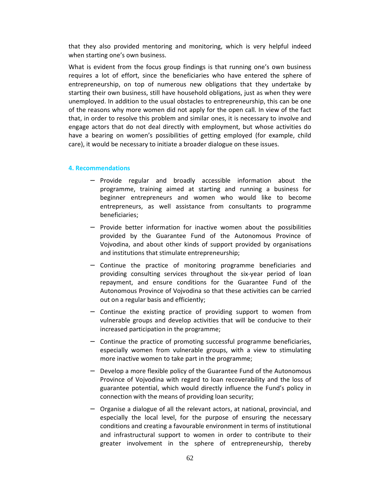that they also provided mentoring and monitoring, which is very helpful indeed when starting one's own business.

What is evident from the focus group findings is that running one's own business requires a lot of effort, since the beneficiaries who have entered the sphere of entrepreneurship, on top of numerous new obligations that they undertake by starting their own business, still have household obligations, just as when they were unemployed. In addition to the usual obstacles to entrepreneurship, this can be one of the reasons why more women did not apply for the open call. In view of the fact that, in order to resolve this problem and similar ones, it is necessary to involve and engage actors that do not deal directly with employment, but whose activities do have a bearing on women's possibilities of getting employed (for example, child care), it would be necessary to initiate a broader dialogue on these issues.

#### **4. Recommendations**

- − Provide regular and broadly accessible information about the programme, training aimed at starting and running a business for beginner entrepreneurs and women who would like to become entrepreneurs, as well assistance from consultants to programme beneficiaries;
- − Provide better information for inactive women about the possibilities provided by the Guarantee Fund of the Autonomous Province of Vojvodina, and about other kinds of support provided by organisations and institutions that stimulate entrepreneurship;
- − Continue the practice of monitoring programme beneficiaries and providing consulting services throughout the six-year period of loan repayment, and ensure conditions for the Guarantee Fund of the Autonomous Province of Vojvodina so that these activities can be carried out on a regular basis and efficiently;
- − Continue the existing practice of providing support to women from vulnerable groups and develop activities that will be conducive to their increased participation in the programme;
- − Continue the practice of promoting successful programme beneficiaries, especially women from vulnerable groups, with a view to stimulating more inactive women to take part in the programme;
- − Develop a more flexible policy of the Guarantee Fund of the Autonomous Province of Vojvodina with regard to loan recoverability and the loss of guarantee potential, which would directly influence the Fund's policy in connection with the means of providing loan security;
- − Organise a dialogue of all the relevant actors, at national, provincial, and especially the local level, for the purpose of ensuring the necessary conditions and creating a favourable environment in terms of institutional and infrastructural support to women in order to contribute to their greater involvement in the sphere of entrepreneurship, thereby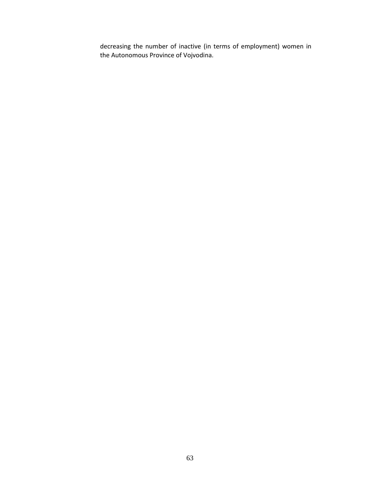decreasing the number of inactive (in terms of employment) women in the Autonomous Province of Vojvodina.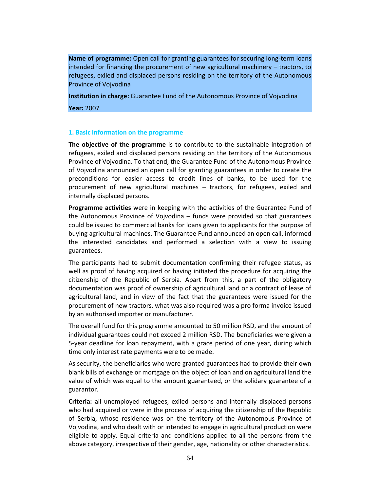**Name of programme:** Open call for granting guarantees for securing long-term loans intended for financing the procurement of new agricultural machinery – tractors, to refugees, exiled and displaced persons residing on the territory of the Autonomous Province of Vojvodina

**Institution in charge:** Guarantee Fund of the Autonomous Province of Vojvodina

**Year:** 2007

### **1. Basic information on the programme**

**The objective of the programme** is to contribute to the sustainable integration of refugees, exiled and displaced persons residing on the territory of the Autonomous Province of Vojvodina. To that end, the Guarantee Fund of the Autonomous Province of Vojvodina announced an open call for granting guarantees in order to create the preconditions for easier access to credit lines of banks, to be used for the procurement of new agricultural machines – tractors, for refugees, exiled and internally displaced persons.

**Programme activities** were in keeping with the activities of the Guarantee Fund of the Autonomous Province of Vojvodina – funds were provided so that guarantees could be issued to commercial banks for loans given to applicants for the purpose of buying agricultural machines. The Guarantee Fund announced an open call, informed the interested candidates and performed a selection with a view to issuing guarantees.

The participants had to submit documentation confirming their refugee status, as well as proof of having acquired or having initiated the procedure for acquiring the citizenship of the Republic of Serbia. Apart from this, a part of the obligatory documentation was proof of ownership of agricultural land or a contract of lease of agricultural land, and in view of the fact that the guarantees were issued for the procurement of new tractors, what was also required was a pro forma invoice issued by an authorised importer or manufacturer.

The overall fund for this programme amounted to 50 million RSD, and the amount of individual guarantees could not exceed 2 million RSD. The beneficiaries were given a 5-year deadline for loan repayment, with a grace period of one year, during which time only interest rate payments were to be made.

As security, the beneficiaries who were granted guarantees had to provide their own blank bills of exchange or mortgage on the object of loan and on agricultural land the value of which was equal to the amount guaranteed, or the solidary guarantee of a guarantor.

**Criteria:** all unemployed refugees, exiled persons and internally displaced persons who had acquired or were in the process of acquiring the citizenship of the Republic of Serbia, whose residence was on the territory of the Autonomous Province of Vojvodina, and who dealt with or intended to engage in agricultural production were eligible to apply. Equal criteria and conditions applied to all the persons from the above category, irrespective of their gender, age, nationality or other characteristics.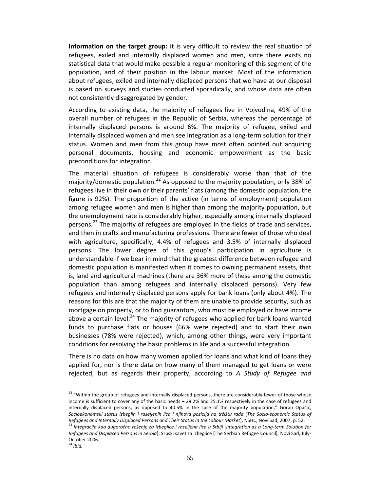**Information on the target group:** it is very difficult to review the real situation of refugees, exiled and internally displaced women and men, since there exists no statistical data that would make possible a regular monitoring of this segment of the population, and of their position in the labour market. Most of the information about refugees, exiled and internally displaced persons that we have at our disposal is based on surveys and studies conducted sporadically, and whose data are often not consistently disaggregated by gender.

According to existing data, the majority of refugees live in Vojvodina, 49% of the overall number of refugees in the Republic of Serbia, whereas the percentage of internally displaced persons is around 6%. The majority of refugee, exiled and internally displaced women and men see integration as a long-term solution for their status. Women and men from this group have most often pointed out acquiring personal documents, housing and economic empowerment as the basic preconditions for integration.

The material situation of refugees is considerably worse than that of the majority/domestic population.<sup>22</sup> As opposed to the majority population, only 38% of refugees live in their own or their parents' flats (among the domestic population, the figure is 92%). The proportion of the active (in terms of employment) population among refugee women and men is higher than among the majority population, but the unemployment rate is considerably higher, especially among internally displaced persons.<sup>23</sup> The majority of refugees are employed in the fields of trade and services, and then in crafts and manufacturing professions. There are fewer of those who deal with agriculture, specifically, 4.4% of refugees and 3.5% of internally displaced persons. The lower degree of this group's participation in agriculture is understandable if we bear in mind that the greatest difference between refugee and domestic population is manifested when it comes to owning permanent assets, that is, land and agricultural machines (there are 36% more of these among the domestic population than among refugees and internally displaced persons). Very few refugees and internally displaced persons apply for bank loans (only about 4%). The reasons for this are that the majority of them are unable to provide security, such as mortgage on property, or to find guarantors, who must be employed or have income above a certain level.<sup>24</sup> The majority of refugees who applied for bank loans wanted funds to purchase flats or houses (66% were rejected) and to start their own businesses (78% were rejected), which, among other things, were very important conditions for resolving the basic problems in life and a successful integration.

There is no data on how many women applied for loans and what kind of loans they applied for, nor is there data on how many of them managed to get loans or were rejected, but as regards their property, according to *A Study of Refugee and* 

-

<sup>&</sup>lt;sup>22</sup> "Within the group of refugees and internally displaced persons, there are considerably fewer of those whose income is sufficient to cover any of the basic needs – 28.2% and 25.1% respectively in the case of refugees and internally displaced persons, as opposed to 40.5% in the case of the majority population," Goran Opačić, *Socioekonomski status izbeglih i raseljenih lica i njihova pozicija na tržištu rada* [*The Socio-economic Status of Refugees and Internally Displaced Persons and Their Status in the Labour Market*], NSHC, Novi Sad, 2007, p. 52.

<sup>&</sup>lt;sup>23</sup> Integracija kao dugoročno rešenje za izbeglice i raseljena lica u Srbiji [Integration as a Long-term Solution for *Refugees and Displaced Persons in Serbia*], Srpski savet za izbeglice [The Serbian Refugee Council], Novi Sad, July-October 2006.

<sup>24</sup> *Ibid.*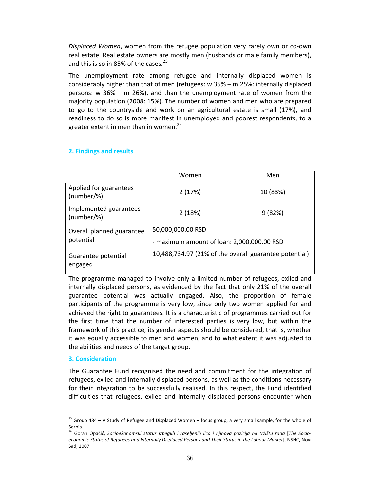*Displaced Women*, women from the refugee population very rarely own or co-own real estate. Real estate owners are mostly men (husbands or male family members), and this is so in 85% of the cases.<sup>25</sup>

The unemployment rate among refugee and internally displaced women is considerably higher than that of men (refugees: w 35% – m 25%: internally displaced persons: w 36% – m 26%), and than the unemployment rate of women from the majority population (2008: 15%). The number of women and men who are prepared to go to the countryside and work on an agricultural estate is small (17%), and readiness to do so is more manifest in unemployed and poorest respondents, to a greater extent in men than in women.<sup>26</sup>

## **2. Findings and results**

|                                        | Women                                                           | Men      |  |  |
|----------------------------------------|-----------------------------------------------------------------|----------|--|--|
| Applied for guarantees<br>(number/%)   | 2(17%)                                                          | 10 (83%) |  |  |
| Implemented guarantees<br>(number/%)   | 2(18%)                                                          | 9(82%)   |  |  |
| Overall planned guarantee<br>potential | 50,000,000.00 RSD<br>- maximum amount of loan: 2,000,000.00 RSD |          |  |  |
| Guarantee potential<br>engaged         | 10,488,734.97 (21% of the overall guarantee potential)          |          |  |  |

The programme managed to involve only a limited number of refugees, exiled and internally displaced persons, as evidenced by the fact that only 21% of the overall guarantee potential was actually engaged. Also, the proportion of female participants of the programme is very low, since only two women applied for and achieved the right to guarantees. It is a characteristic of programmes carried out for the first time that the number of interested parties is very low, but within the framework of this practice, its gender aspects should be considered, that is, whether it was equally accessible to men and women, and to what extent it was adjusted to the abilities and needs of the target group.

### **3. Consideration**

-

The Guarantee Fund recognised the need and commitment for the integration of refugees, exiled and internally displaced persons, as well as the conditions necessary for their integration to be successfully realised. In this respect, the Fund identified difficulties that refugees, exiled and internally displaced persons encounter when

<sup>&</sup>lt;sup>25</sup> Group 484 – A Study of Refugee and Displaced Women – focus group, a very small sample, for the whole of Serbia.

<sup>26</sup> Goran Opačić, *Socioekonomski status izbeglih i raseljenih lica i njihova pozicija na tržištu rada* [*The Socioeconomic Status of Refugees and Internally Displaced Persons and Their Status in the Labour Market*], NSHC, Novi Sad, 2007.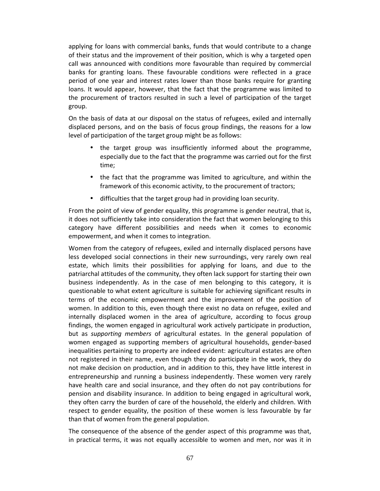applying for loans with commercial banks, funds that would contribute to a change of their status and the improvement of their position, which is why a targeted open call was announced with conditions more favourable than required by commercial banks for granting loans. These favourable conditions were reflected in a grace period of one year and interest rates lower than those banks require for granting loans. It would appear, however, that the fact that the programme was limited to the procurement of tractors resulted in such a level of participation of the target group.

On the basis of data at our disposal on the status of refugees, exiled and internally displaced persons, and on the basis of focus group findings, the reasons for a low level of participation of the target group might be as follows:

- the target group was insufficiently informed about the programme, especially due to the fact that the programme was carried out for the first time;
- the fact that the programme was limited to agriculture, and within the framework of this economic activity, to the procurement of tractors;
- difficulties that the target group had in providing loan security.

From the point of view of gender equality, this programme is gender neutral, that is, it does not sufficiently take into consideration the fact that women belonging to this category have different possibilities and needs when it comes to economic empowerment, and when it comes to integration.

Women from the category of refugees, exiled and internally displaced persons have less developed social connections in their new surroundings, very rarely own real estate, which limits their possibilities for applying for loans, and due to the patriarchal attitudes of the community, they often lack support for starting their own business independently. As in the case of men belonging to this category, it is questionable to what extent agriculture is suitable for achieving significant results in terms of the economic empowerment and the improvement of the position of women. In addition to this, even though there exist no data on refugee, exiled and internally displaced women in the area of agriculture, according to focus group findings, the women engaged in agricultural work actively participate in production, but as *supporting members* of agricultural estates. In the general population of women engaged as supporting members of agricultural households, gender-based inequalities pertaining to property are indeed evident: agricultural estates are often not registered in their name, even though they do participate in the work, they do not make decision on production, and in addition to this, they have little interest in entrepreneurship and running a business independently. These women very rarely have health care and social insurance, and they often do not pay contributions for pension and disability insurance. In addition to being engaged in agricultural work, they often carry the burden of care of the household, the elderly and children. With respect to gender equality, the position of these women is less favourable by far than that of women from the general population.

The consequence of the absence of the gender aspect of this programme was that, in practical terms, it was not equally accessible to women and men, nor was it in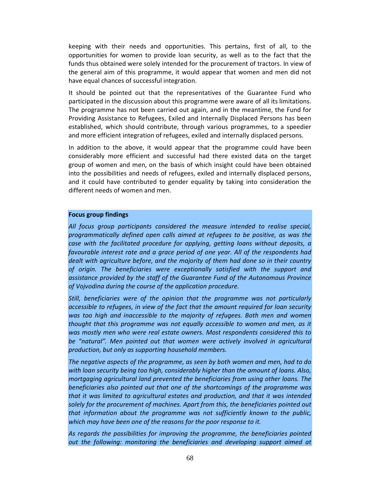keeping with their needs and opportunities. This pertains, first of all, to the opportunities for women to provide loan security, as well as to the fact that the funds thus obtained were solely intended for the procurement of tractors. In view of the general aim of this programme, it would appear that women and men did not have equal chances of successful integration.

It should be pointed out that the representatives of the Guarantee Fund who participated in the discussion about this programme were aware of all its limitations. The programme has not been carried out again, and in the meantime, the Fund for Providing Assistance to Refugees, Exiled and Internally Displaced Persons has been established, which should contribute, through various programmes, to a speedier and more efficient integration of refugees, exiled and internally displaced persons.

In addition to the above, it would appear that the programme could have been considerably more efficient and successful had there existed data on the target group of women and men, on the basis of which insight could have been obtained into the possibilities and needs of refugees, exiled and internally displaced persons, and it could have contributed to gender equality by taking into consideration the different needs of women and men.

### **Focus group findings**

*All focus group participants considered the measure intended to realise special, programmatically defined open calls aimed at refugees to be positive, as was the case with the facilitated procedure for applying, getting loans without deposits, a favourable interest rate and a grace period of one year. All of the respondents had dealt with agriculture before, and the majority of them had done so in their country of origin. The beneficiaries were exceptionally satisfied with the support and assistance provided by the staff of the Guarantee Fund of the Autonomous Province of Vojvodina during the course of the application procedure.* 

*Still, beneficiaries were of the opinion that the programme was not particularly accessible to refugees, in view of the fact that the amount required for loan security was too high and inaccessible to the majority of refugees. Both men and women thought that this programme was not equally accessible to women and men, as it was mostly men who were real estate owners. Most respondents considered this to*  be "natural". Men pointed out that women were actively involved in agricultural *production, but only as supporting household members.* 

*The negative aspects of the programme, as seen by both women and men, had to do with loan security being too high, considerably higher than the amount of loans. Also, mortgaging agricultural land prevented the beneficiaries from using other loans. The beneficiaries also pointed out that one of the shortcomings of the programme was that it was limited to agricultural estates and production, and that it was intended solely for the procurement of machines. Apart from this, the beneficiaries pointed out that information about the programme was not sufficiently known to the public, which may have been one of the reasons for the poor response to it.* 

*As regards the possibilities for improving the programme, the beneficiaries pointed out the following: monitoring the beneficiaries and developing support aimed at*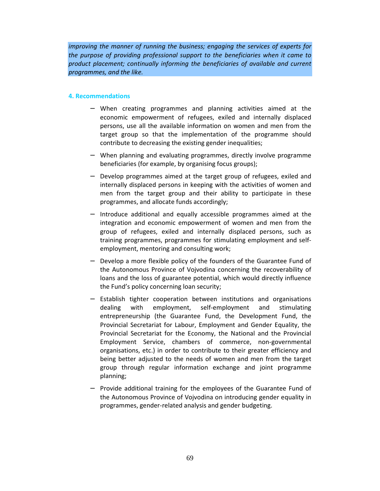*improving the manner of running the business; engaging the services of experts for the purpose of providing professional support to the beneficiaries when it came to product placement; continually informing the beneficiaries of available and current programmes, and the like.* 

### **4. Recommendations**

- − When creating programmes and planning activities aimed at the economic empowerment of refugees, exiled and internally displaced persons, use all the available information on women and men from the target group so that the implementation of the programme should contribute to decreasing the existing gender inequalities;
- − When planning and evaluating programmes, directly involve programme beneficiaries (for example, by organising focus groups);
- − Develop programmes aimed at the target group of refugees, exiled and internally displaced persons in keeping with the activities of women and men from the target group and their ability to participate in these programmes, and allocate funds accordingly;
- − Introduce additional and equally accessible programmes aimed at the integration and economic empowerment of women and men from the group of refugees, exiled and internally displaced persons, such as training programmes, programmes for stimulating employment and selfemployment, mentoring and consulting work;
- Develop a more flexible policy of the founders of the Guarantee Fund of the Autonomous Province of Vojvodina concerning the recoverability of loans and the loss of guarantee potential, which would directly influence the Fund's policy concerning loan security;
- Establish tighter cooperation between institutions and organisations dealing with employment, self-employment and stimulating entrepreneurship (the Guarantee Fund, the Development Fund, the Provincial Secretariat for Labour, Employment and Gender Equality, the Provincial Secretariat for the Economy, the National and the Provincial Employment Service, chambers of commerce, non-governmental organisations, etc.) in order to contribute to their greater efficiency and being better adjusted to the needs of women and men from the target group through regular information exchange and joint programme planning;
- Provide additional training for the employees of the Guarantee Fund of the Autonomous Province of Vojvodina on introducing gender equality in programmes, gender-related analysis and gender budgeting.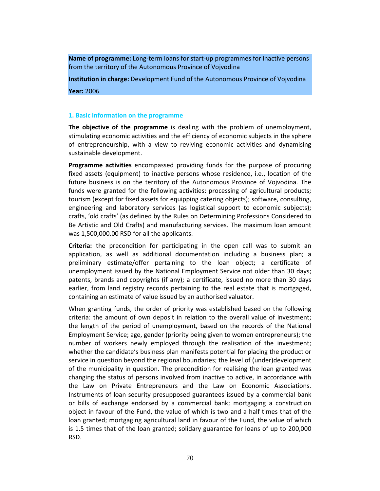**Name of programme:** Long-term loans for start-up programmes for inactive persons from the territory of the Autonomous Province of Vojvodina

**Institution in charge:** Development Fund of the Autonomous Province of Vojvodina **Year:** 2006

#### **1. Basic information on the programme**

**The objective of the programme** is dealing with the problem of unemployment, stimulating economic activities and the efficiency of economic subjects in the sphere of entrepreneurship, with a view to reviving economic activities and dynamising sustainable development.

**Programme activities** encompassed providing funds for the purpose of procuring fixed assets (equipment) to inactive persons whose residence, i.e., location of the future business is on the territory of the Autonomous Province of Vojvodina. The funds were granted for the following activities: processing of agricultural products; tourism (except for fixed assets for equipping catering objects); software, consulting, engineering and laboratory services (as logistical support to economic subjects); crafts, 'old crafts' (as defined by the Rules on Determining Professions Considered to Be Artistic and Old Crafts) and manufacturing services. The maximum loan amount was 1,500,000.00 RSD for all the applicants.

**Criteria:** the precondition for participating in the open call was to submit an application, as well as additional documentation including a business plan; a preliminary estimate/offer pertaining to the loan object; a certificate of unemployment issued by the National Employment Service not older than 30 days; patents, brands and copyrights (if any); a certificate, issued no more than 30 days earlier, from land registry records pertaining to the real estate that is mortgaged, containing an estimate of value issued by an authorised valuator.

When granting funds, the order of priority was established based on the following criteria: the amount of own deposit in relation to the overall value of investment; the length of the period of unemployment, based on the records of the National Employment Service; age, gender (priority being given to women entrepreneurs); the number of workers newly employed through the realisation of the investment; whether the candidate's business plan manifests potential for placing the product or service in question beyond the regional boundaries; the level of (under)development of the municipality in question. The precondition for realising the loan granted was changing the status of persons involved from inactive to active, in accordance with the Law on Private Entrepreneurs and the Law on Economic Associations. Instruments of loan security presupposed guarantees issued by a commercial bank or bills of exchange endorsed by a commercial bank; mortgaging a construction object in favour of the Fund, the value of which is two and a half times that of the loan granted; mortgaging agricultural land in favour of the Fund, the value of which is 1.5 times that of the loan granted; solidary guarantee for loans of up to 200,000 RSD.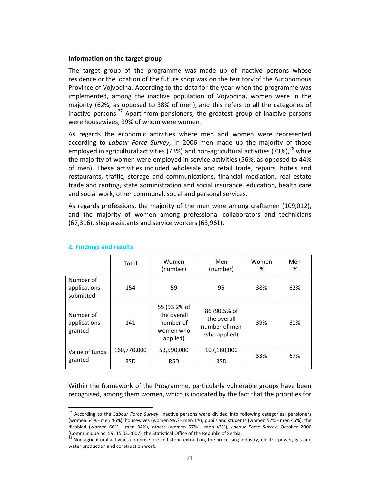### **Information on the target group**

The target group of the programme was made up of inactive persons whose residence or the location of the future shop was on the territory of the Autonomous Province of Vojvodina. According to the data for the year when the programme was implemented, among the inactive population of Vojvodina, women were in the majority (62%, as opposed to 38% of men), and this refers to all the categories of inactive persons.<sup>27</sup> Apart from pensioners, the greatest group of inactive persons were housewives, 99% of whom were women.

As regards the economic activities where men and women were represented according to *Labour Force Survey*, in 2006 men made up the majority of those employed in agricultural activities (73%) and non-agricultural activities (73%),  $^{28}$  while the majority of women were employed in service activities (56%, as opposed to 44% of men). These activities included wholesale and retail trade, repairs, hotels and restaurants, traffic, storage and communications, financial mediation, real estate trade and renting, state administration and social insurance, education, health care and social work, other communal, social and personal services.

As regards professions, the majority of the men were among craftsmen (109,012), and the majority of women among professional collaborators and technicians (67,316), shop assistants and service workers (63,961).

|                                        | Total                     | Women<br>(number)                                                 | Men<br>(number)                                              | Women<br>% | Men<br>% |
|----------------------------------------|---------------------------|-------------------------------------------------------------------|--------------------------------------------------------------|------------|----------|
| Number of<br>applications<br>submitted | 154                       | 59                                                                | 95                                                           | 38%        | 62%      |
| Number of<br>applications<br>granted   | 141                       | 55 (93.2% of<br>the overall<br>number of<br>women who<br>applied) | 86 (90.5% of<br>the overall<br>number of men<br>who applied) | 39%        | 61%      |
| Value of funds<br>granted              | 160,770,000<br><b>RSD</b> | 53,590,000<br><b>RSD</b>                                          | 107,180,000<br><b>RSD</b>                                    | 33%        | 67%      |

# **2. Findings and results**

-

Within the framework of the Programme, particularly vulnerable groups have been recognised, among them women, which is indicated by the fact that the priorities for

<sup>27</sup> According to the *Labour Force Survey*, inactive persons were divided into following categories: pensioners (women 54% - men 46%), housewives (women 99% - men 1%), pupils and students (women 52% - men 46%), the disabled (women 66% - men 34%), others (women 57% - men 43%), *Labour Force Survey*, October 2006 (Communiqué no. 59, 15.03.2007), the Statistical Office of the Republic of Serbia.

<sup>&</sup>lt;sup>28</sup> Non-agricultural activities comprise ore and stone extraction, the processing industry, electric power, gas and water production and construction work.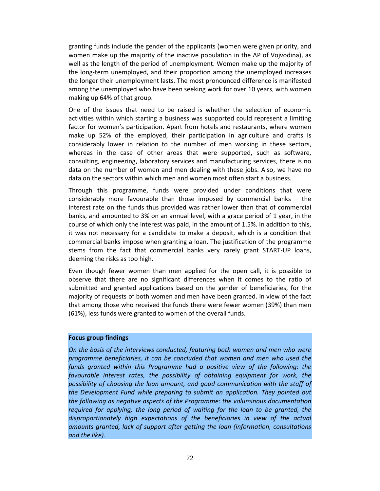granting funds include the gender of the applicants (women were given priority, and women make up the majority of the inactive population in the AP of Vojvodina), as well as the length of the period of unemployment. Women make up the majority of the long-term unemployed, and their proportion among the unemployed increases the longer their unemployment lasts. The most pronounced difference is manifested among the unemployed who have been seeking work for over 10 years, with women making up 64% of that group.

One of the issues that need to be raised is whether the selection of economic activities within which starting a business was supported could represent a limiting factor for women's participation. Apart from hotels and restaurants, where women make up 52% of the employed, their participation in agriculture and crafts is considerably lower in relation to the number of men working in these sectors, whereas in the case of other areas that were supported, such as software, consulting, engineering, laboratory services and manufacturing services, there is no data on the number of women and men dealing with these jobs. Also, we have no data on the sectors within which men and women most often start a business.

Through this programme, funds were provided under conditions that were considerably more favourable than those imposed by commercial banks – the interest rate on the funds thus provided was rather lower than that of commercial banks, and amounted to 3% on an annual level, with a grace period of 1 year, in the course of which only the interest was paid, in the amount of 1.5%. In addition to this, it was not necessary for a candidate to make a deposit, which is a condition that commercial banks impose when granting a loan. The justification of the programme stems from the fact that commercial banks very rarely grant START-UP loans, deeming the risks as too high.

Even though fewer women than men applied for the open call, it is possible to observe that there are no significant differences when it comes to the ratio of submitted and granted applications based on the gender of beneficiaries, for the majority of requests of both women and men have been granted. In view of the fact that among those who received the funds there were fewer women (39%) than men (61%), less funds were granted to women of the overall funds.

## **Focus group findings**

*On the basis of the interviews conducted, featuring both women and men who were programme beneficiaries, it can be concluded that women and men who used the*  funds granted within this Programme had a positive view of the following: the favourable interest rates, the possibility of obtaining equipment for work, the *possibility of choosing the loan amount, and good communication with the staff of the Development Fund while preparing to submit an application. They pointed out the following as negative aspects of the Programme: the voluminous documentation required for applying, the long period of waiting for the loan to be granted, the disproportionately high expectations of the beneficiaries in view of the actual amounts granted, lack of support after getting the loan (information, consultations and the like).*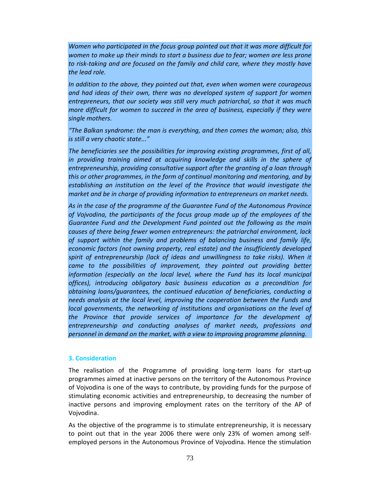*Women who participated in the focus group pointed out that it was more difficult for women to make up their minds to start a business due to fear; women are less prone to risk-taking and are focused on the family and child care, where they mostly have the lead role.* 

*In addition to the above, they pointed out that, even when women were courageous and had ideas of their own, there was no developed system of support for women entrepreneurs, that our society was still very much patriarchal, so that it was much more difficult for women to succeed in the area of business, especially if they were single mothers.* 

*"The Balkan syndrome: the man is everything, and then comes the woman; also, this is still a very chaotic state..."* 

*The beneficiaries see the possibilities for improving existing programmes, first of all,*  in providing training aimed at acquiring knowledge and skills in the sphere of *entrepreneurship, providing consultative support after the granting of a loan through this or other programmes, in the form of continual monitoring and mentoring, and by establishing an institution on the level of the Province that would investigate the market and be in charge of providing information to entrepreneurs on market needs.* 

*As in the case of the programme of the Guarantee Fund of the Autonomous Province of Vojvodina, the participants of the focus group made up of the employees of the Guarantee Fund and the Development Fund pointed out the following as the main causes of there being fewer women entrepreneurs: the patriarchal environment, lack of support within the family and problems of balancing business and family life, economic factors (not owning property, real estate) and the insufficiently developed*  spirit of entrepreneurship (lack of ideas and unwillingness to take risks). When it came to the possibilities of improvement, they pointed out providing better *information (especially on the local level, where the Fund has its local municipal offices), introducing obligatory basic business education as a precondition for obtaining loans/guarantees, the continued education of beneficiaries, conducting a needs analysis at the local level, improving the cooperation between the Funds and local governments, the networking of institutions and organisations on the level of the Province that provide services of importance for the development of entrepreneurship and conducting analyses of market needs, professions and personnel in demand on the market, with a view to improving programme planning.* 

## **3. Consideration**

The realisation of the Programme of providing long-term loans for start-up programmes aimed at inactive persons on the territory of the Autonomous Province of Vojvodina is one of the ways to contribute, by providing funds for the purpose of stimulating economic activities and entrepreneurship, to decreasing the number of inactive persons and improving employment rates on the territory of the AP of Vojvodina.

As the objective of the programme is to stimulate entrepreneurship, it is necessary to point out that in the year 2006 there were only 23% of women among selfemployed persons in the Autonomous Province of Vojvodina. Hence the stimulation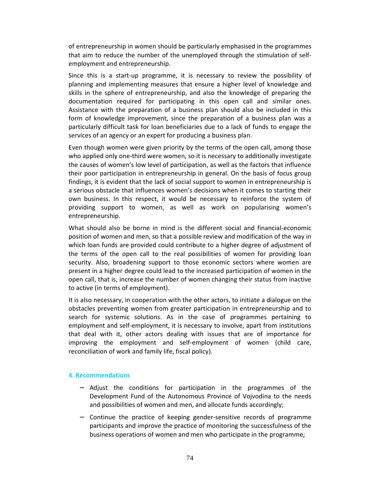of entrepreneurship in women should be particularly emphasised in the programmes that aim to reduce the number of the unemployed through the stimulation of selfemployment and entrepreneurship.

Since this is a start-up programme, it is necessary to review the possibility of planning and implementing measures that ensure a higher level of knowledge and skills in the sphere of entrepreneurship, and also the knowledge of preparing the documentation required for participating in this open call and similar ones. Assistance with the preparation of a business plan should also be included in this form of knowledge improvement, since the preparation of a business plan was a particularly difficult task for loan beneficiaries due to a lack of funds to engage the services of an agency or an expert for producing a business plan.

Even though women were given priority by the terms of the open call, among those who applied only one-third were women, so it is necessary to additionally investigate the causes of women's low level of participation, as well as the factors that influence their poor participation in entrepreneurship in general. On the basis of focus group findings, it is evident that the lack of social support to women in entrepreneurship is a serious obstacle that influences women's decisions when it comes to starting their own business. In this respect, it would be necessary to reinforce the system of providing support to women, as well as work on popularising women's entrepreneurship.

What should also be borne in mind is the different social and financial-economic position of women and men, so that a possible review and modification of the way in which loan funds are provided could contribute to a higher degree of adjustment of the terms of the open call to the real possibilities of women for providing loan security. Also, broadening support to those economic sectors where women are present in a higher degree could lead to the increased participation of women in the open call, that is, increase the number of women changing their status from inactive to active (in terms of employment).

It is also necessary, in cooperation with the other actors, to initiate a dialogue on the obstacles preventing women from greater participation in entrepreneurship and to search for systemic solutions. As in the case of programmes pertaining to employment and self-employment, it is necessary to involve, apart from institutions that deal with it, other actors dealing with issues that are of importance for improving the employment and self-employment of women (child care, reconciliation of work and family life, fiscal policy).

## **4. Recommendations**

- − Adjust the conditions for participation in the programmes of the Development Fund of the Autonomous Province of Vojvodina to the needs and possibilities of women and men, and allocate funds accordingly;
- − Continue the practice of keeping gender-sensitive records of programme participants and improve the practice of monitoring the successfulness of the business operations of women and men who participate in the programme;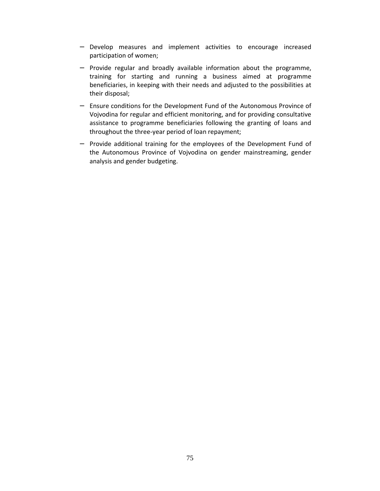- − Develop measures and implement activities to encourage increased participation of women;
- − Provide regular and broadly available information about the programme, training for starting and running a business aimed at programme beneficiaries, in keeping with their needs and adjusted to the possibilities at their disposal;
- − Ensure conditions for the Development Fund of the Autonomous Province of Vojvodina for regular and efficient monitoring, and for providing consultative assistance to programme beneficiaries following the granting of loans and throughout the three-year period of loan repayment;
- − Provide additional training for the employees of the Development Fund of the Autonomous Province of Vojvodina on gender mainstreaming, gender analysis and gender budgeting.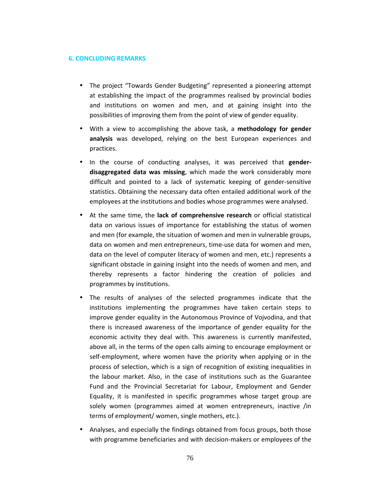## **6. CONCLUDING REMARKS**

- The project "Towards Gender Budgeting" represented a pioneering attempt at establishing the impact of the programmes realised by provincial bodies and institutions on women and men, and at gaining insight into the possibilities of improving them from the point of view of gender equality.
- With a view to accomplishing the above task, a **methodology for gender analysis** was developed, relying on the best European experiences and practices.
- In the course of conducting analyses, it was perceived that **genderdisaggregated data was missing**, which made the work considerably more difficult and pointed to a lack of systematic keeping of gender-sensitive statistics. Obtaining the necessary data often entailed additional work of the employees at the institutions and bodies whose programmes were analysed.
- At the same time, the **lack of comprehensive research** or official statistical data on various issues of importance for establishing the status of women and men (for example, the situation of women and men in vulnerable groups, data on women and men entrepreneurs, time-use data for women and men, data on the level of computer literacy of women and men, etc.) represents a significant obstacle in gaining insight into the needs of women and men, and thereby represents a factor hindering the creation of policies and programmes by institutions.
- The results of analyses of the selected programmes indicate that the institutions implementing the programmes have taken certain steps to improve gender equality in the Autonomous Province of Vojvodina, and that there is increased awareness of the importance of gender equality for the economic activity they deal with. This awareness is currently manifested, above all, in the terms of the open calls aiming to encourage employment or self-employment, where women have the priority when applying or in the process of selection, which is a sign of recognition of existing inequalities in the labour market. Also, in the case of institutions such as the Guarantee Fund and the Provincial Secretariat for Labour, Employment and Gender Equality, it is manifested in specific programmes whose target group are solely women (programmes aimed at women entrepreneurs, inactive /in terms of employment/ women, single mothers, etc.).
- Analyses, and especially the findings obtained from focus groups, both those with programme beneficiaries and with decision-makers or employees of the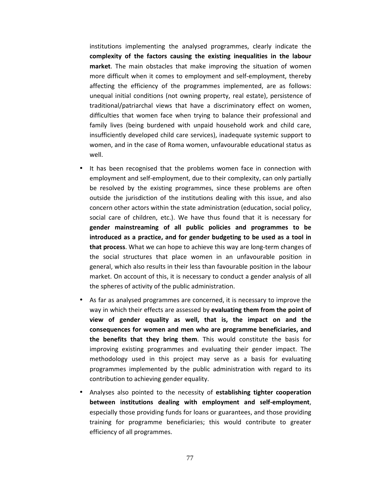institutions implementing the analysed programmes, clearly indicate the **complexity of the factors causing the existing inequalities in the labour market**. The main obstacles that make improving the situation of women more difficult when it comes to employment and self-employment, thereby affecting the efficiency of the programmes implemented, are as follows: unequal initial conditions (not owning property, real estate), persistence of traditional/patriarchal views that have a discriminatory effect on women, difficulties that women face when trying to balance their professional and family lives (being burdened with unpaid household work and child care, insufficiently developed child care services), inadequate systemic support to women, and in the case of Roma women, unfavourable educational status as well.

- It has been recognised that the problems women face in connection with employment and self-employment, due to their complexity, can only partially be resolved by the existing programmes, since these problems are often outside the jurisdiction of the institutions dealing with this issue, and also concern other actors within the state administration (education, social policy, social care of children, etc.). We have thus found that it is necessary for **gender mainstreaming of all public policies and programmes to be introduced as a practice, and for gender budgeting to be used as a tool in that process**. What we can hope to achieve this way are long-term changes of the social structures that place women in an unfavourable position in general, which also results in their less than favourable position in the labour market. On account of this, it is necessary to conduct a gender analysis of all the spheres of activity of the public administration.
- As far as analysed programmes are concerned, it is necessary to improve the way in which their effects are assessed by **evaluating them from the point of view of gender equality as well, that is, the impact on and the consequences for women and men who are programme beneficiaries, and the benefits that they bring them**. This would constitute the basis for improving existing programmes and evaluating their gender impact. The methodology used in this project may serve as a basis for evaluating programmes implemented by the public administration with regard to its contribution to achieving gender equality.
- Analyses also pointed to the necessity of **establishing tighter cooperation between institutions dealing with employment and self-employment**, especially those providing funds for loans or guarantees, and those providing training for programme beneficiaries; this would contribute to greater efficiency of all programmes.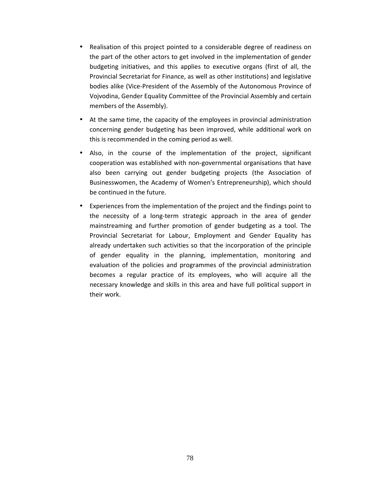- Realisation of this project pointed to a considerable degree of readiness on the part of the other actors to get involved in the implementation of gender budgeting initiatives, and this applies to executive organs (first of all, the Provincial Secretariat for Finance, as well as other institutions) and legislative bodies alike (Vice-President of the Assembly of the Autonomous Province of Vojvodina, Gender Equality Committee of the Provincial Assembly and certain members of the Assembly).
- At the same time, the capacity of the employees in provincial administration concerning gender budgeting has been improved, while additional work on this is recommended in the coming period as well.
- Also, in the course of the implementation of the project, significant cooperation was established with non-governmental organisations that have also been carrying out gender budgeting projects (the Association of Businesswomen, the Academy of Women's Entrepreneurship), which should be continued in the future.
- Experiences from the implementation of the project and the findings point to the necessity of a long-term strategic approach in the area of gender mainstreaming and further promotion of gender budgeting as a tool. The Provincial Secretariat for Labour, Employment and Gender Equality has already undertaken such activities so that the incorporation of the principle of gender equality in the planning, implementation, monitoring and evaluation of the policies and programmes of the provincial administration becomes a regular practice of its employees, who will acquire all the necessary knowledge and skills in this area and have full political support in their work.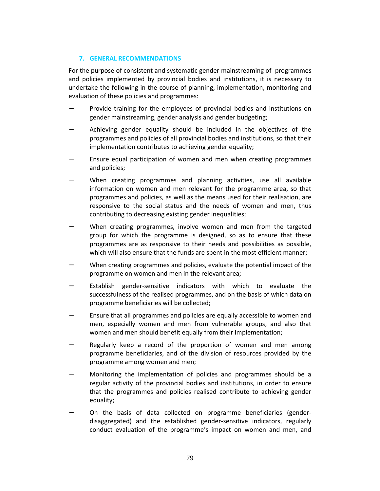## **7. GENERAL RECOMMENDATIONS**

For the purpose of consistent and systematic gender mainstreaming of programmes and policies implemented by provincial bodies and institutions, it is necessary to undertake the following in the course of planning, implementation, monitoring and evaluation of these policies and programmes:

- Provide training for the employees of provincial bodies and institutions on gender mainstreaming, gender analysis and gender budgeting;
- Achieving gender equality should be included in the objectives of the programmes and policies of all provincial bodies and institutions, so that their implementation contributes to achieving gender equality;
- Ensure equal participation of women and men when creating programmes and policies;
- When creating programmes and planning activities, use all available information on women and men relevant for the programme area, so that programmes and policies, as well as the means used for their realisation, are responsive to the social status and the needs of women and men, thus contributing to decreasing existing gender inequalities;
- − When creating programmes, involve women and men from the targeted group for which the programme is designed, so as to ensure that these programmes are as responsive to their needs and possibilities as possible, which will also ensure that the funds are spent in the most efficient manner;
- When creating programmes and policies, evaluate the potential impact of the programme on women and men in the relevant area;
- Establish gender-sensitive indicators with which to evaluate the successfulness of the realised programmes, and on the basis of which data on programme beneficiaries will be collected;
- − Ensure that all programmes and policies are equally accessible to women and men, especially women and men from vulnerable groups, and also that women and men should benefit equally from their implementation;
- Regularly keep a record of the proportion of women and men among programme beneficiaries, and of the division of resources provided by the programme among women and men;
- − Monitoring the implementation of policies and programmes should be a regular activity of the provincial bodies and institutions, in order to ensure that the programmes and policies realised contribute to achieving gender equality;
- On the basis of data collected on programme beneficiaries (genderdisaggregated) and the established gender-sensitive indicators, regularly conduct evaluation of the programme's impact on women and men, and